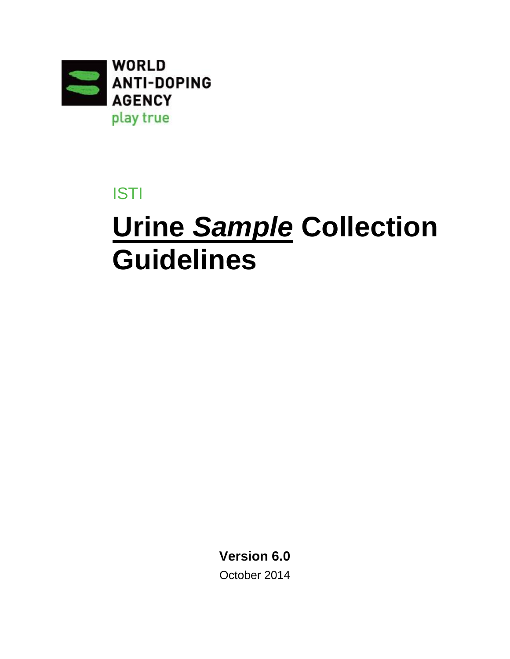

# ISTI

# **Urine** *Sample* **Collection Guidelines**

**Version 6.0** October 2014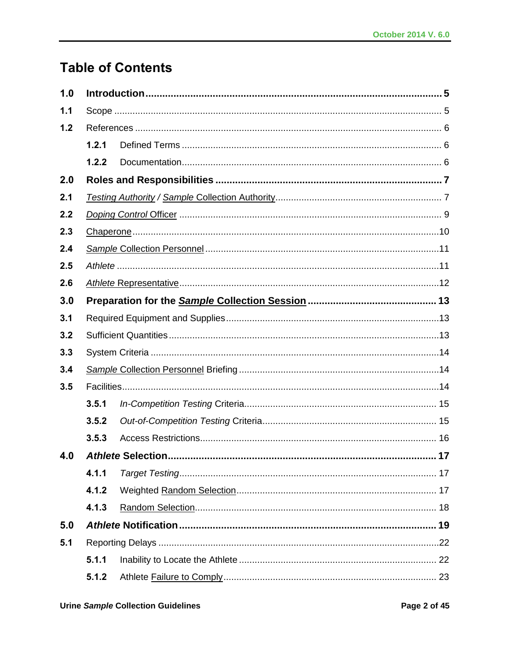# **Table of Contents**

| 1.0 |       |  |  |  |  |  |
|-----|-------|--|--|--|--|--|
| 1.1 |       |  |  |  |  |  |
| 1.2 |       |  |  |  |  |  |
|     | 1.2.1 |  |  |  |  |  |
|     | 1.2.2 |  |  |  |  |  |
| 2.0 |       |  |  |  |  |  |
| 2.1 |       |  |  |  |  |  |
| 2.2 |       |  |  |  |  |  |
| 2.3 |       |  |  |  |  |  |
| 2.4 |       |  |  |  |  |  |
| 2.5 |       |  |  |  |  |  |
| 2.6 |       |  |  |  |  |  |
| 3.0 |       |  |  |  |  |  |
| 3.1 |       |  |  |  |  |  |
| 3.2 |       |  |  |  |  |  |
| 3.3 |       |  |  |  |  |  |
| 3.4 |       |  |  |  |  |  |
| 3.5 |       |  |  |  |  |  |
|     | 3.5.1 |  |  |  |  |  |
|     | 3.5.2 |  |  |  |  |  |
|     | 3.5.3 |  |  |  |  |  |
| 4.0 |       |  |  |  |  |  |
|     | 4.1.1 |  |  |  |  |  |
|     | 4.1.2 |  |  |  |  |  |
|     | 4.1.3 |  |  |  |  |  |
| 5.0 |       |  |  |  |  |  |
| 5.1 |       |  |  |  |  |  |
|     | 5.1.1 |  |  |  |  |  |
|     | 5.1.2 |  |  |  |  |  |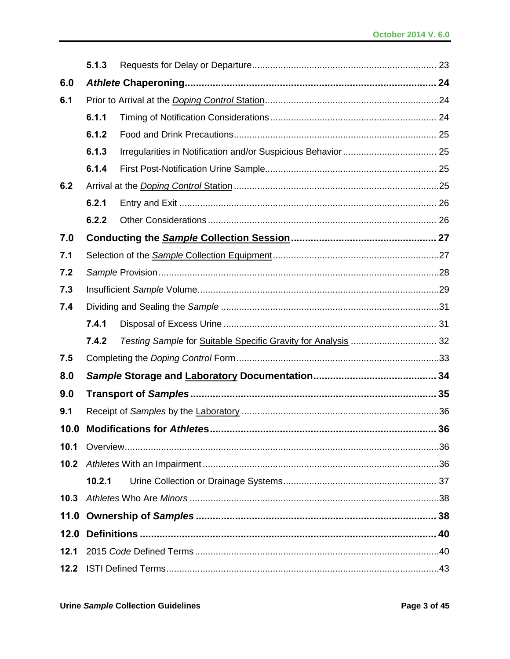|      | 5.1.3  |                                                               |    |  |  |
|------|--------|---------------------------------------------------------------|----|--|--|
| 6.0  |        |                                                               |    |  |  |
| 6.1  |        |                                                               |    |  |  |
|      | 6.1.1  |                                                               |    |  |  |
|      | 6.1.2  |                                                               |    |  |  |
|      | 6.1.3  |                                                               |    |  |  |
|      | 6.1.4  |                                                               |    |  |  |
| 6.2  |        |                                                               |    |  |  |
|      | 6.2.1  |                                                               |    |  |  |
|      | 6.2.2  |                                                               |    |  |  |
| 7.0  |        |                                                               |    |  |  |
| 7.1  |        |                                                               |    |  |  |
| 7.2  |        |                                                               |    |  |  |
| 7.3  |        |                                                               |    |  |  |
| 7.4  |        |                                                               |    |  |  |
|      | 7.4.1  |                                                               |    |  |  |
|      | 7.4.2  | Testing Sample for Suitable Specific Gravity for Analysis  32 |    |  |  |
| 7.5  |        |                                                               |    |  |  |
| 8.0  |        |                                                               |    |  |  |
| 9.0  |        |                                                               |    |  |  |
| 9.1  |        |                                                               |    |  |  |
| 10.0 |        |                                                               | 36 |  |  |
| 10.1 |        |                                                               |    |  |  |
| 10.2 |        |                                                               |    |  |  |
|      | 10.2.1 |                                                               |    |  |  |
| 10.3 |        |                                                               |    |  |  |
|      |        |                                                               |    |  |  |
|      |        |                                                               |    |  |  |
| 12.1 |        |                                                               |    |  |  |
| 12.2 |        |                                                               |    |  |  |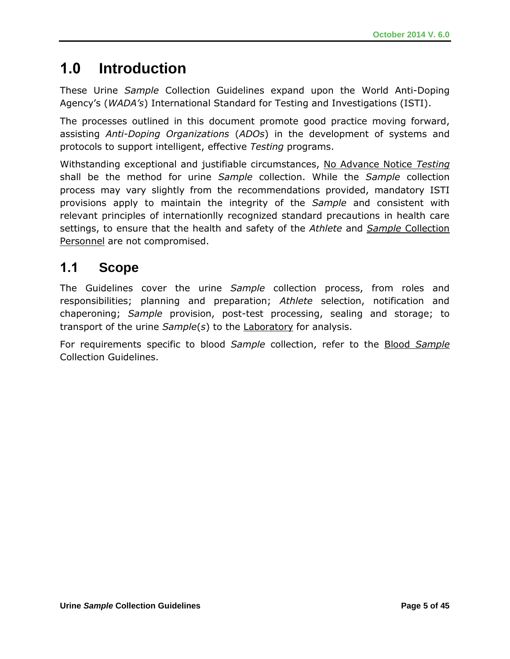# **1.0 Introduction**

These Urine *Sample* Collection Guidelines expand upon the World Anti-Doping Agency's (*WADA's*) International Standard for Testing and Investigations (ISTI).

The processes outlined in this document promote good practice moving forward, assisting *Anti-Doping Organizations* (*ADOs*) in the development of systems and protocols to support intelligent, effective *Testing* programs.

Withstanding exceptional and justifiable circumstances, No Advance Notice *Testing* shall be the method for urine *Sample* collection. While the *Sample* collection process may vary slightly from the recommendations provided, mandatory ISTI provisions apply to maintain the integrity of the *Sample* and consistent with relevant principles of internationlly recognized standard precautions in health care settings, to ensure that the health and safety of the *Athlete* and *Sample* Collection Personnel are not compromised.

# **1.1 Scope**

The Guidelines cover the urine *Sample* collection process, from roles and responsibilities; planning and preparation; *Athlete* selection, notification and chaperoning; *Sample* provision, post-test processing, sealing and storage; to transport of the urine *Sample*(*s*) to the Laboratory for analysis.

For requirements specific to blood *Sample* collection, refer to the Blood *Sample* Collection Guidelines.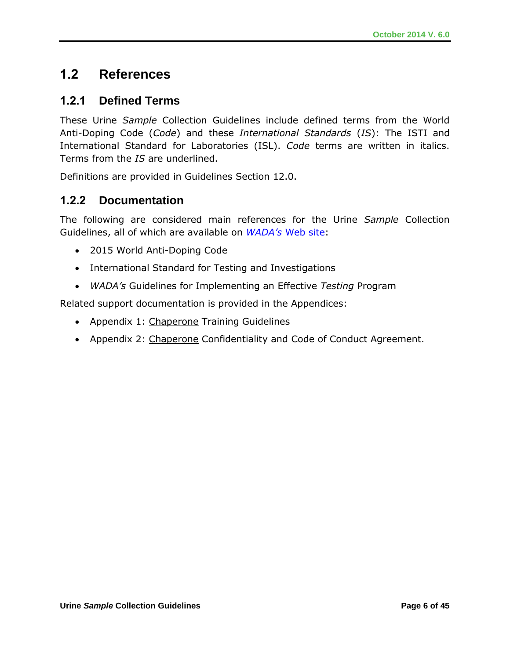# **1.2 References**

### **1.2.1 Defined Terms**

These Urine *Sample* Collection Guidelines include defined terms from the World Anti-Doping Code (*Code*) and these *International Standards* (*IS*): The ISTI and International Standard for Laboratories (ISL). *Code* terms are written in italics. Terms from the *IS* are underlined.

Definitions are provided in Guidelines Section 12.0.

### **1.2.2 Documentation**

The following are considered main references for the Urine *Sample* Collection Guidelines, all of which are available on *WADA's* [Web site:](http://www.wada-ama.org/)

- 2015 World Anti-Doping Code
- International Standard for Testing and Investigations
- *WADA's* Guidelines for Implementing an Effective *Testing* Program

Related support documentation is provided in the Appendices:

- Appendix 1: Chaperone Training Guidelines
- Appendix 2: Chaperone Confidentiality and Code of Conduct Agreement.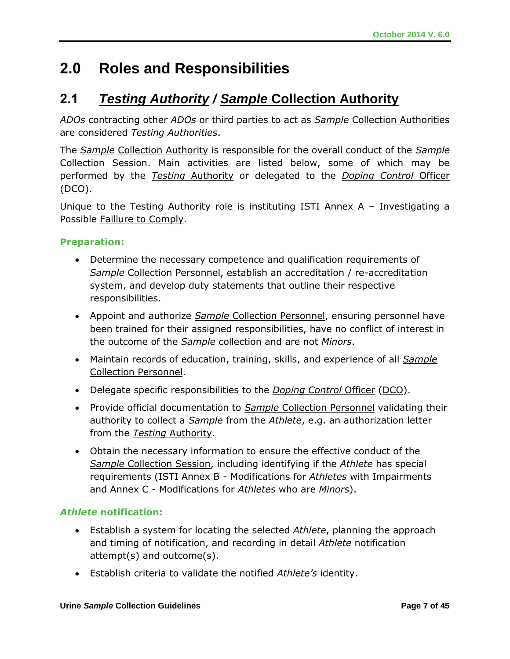# **2.0 Roles and Responsibilities**

# **2.1** *Testing Authority / Sample* **Collection Authority**

*ADOs* contracting other *ADOs* or third parties to act as *Sample* Collection Authorities are considered *Testing Authorities*.

The *Sample* Collection Authority is responsible for the overall conduct of the *Sample*  Collection Session. Main activities are listed below, some of which may be performed by the *Testing* Authority or delegated to the *Doping Control* Officer (DCO).

Unique to the Testing Authority role is instituting ISTI Annex A – Investigating a Possible Faillure to Comply.

#### **Preparation:**

- Determine the necessary competence and qualification requirements of *Sample* Collection Personnel, establish an accreditation / re-accreditation system, and develop duty statements that outline their respective responsibilities.
- Appoint and authorize *Sample* Collection Personnel, ensuring personnel have been trained for their assigned responsibilities, have no conflict of interest in the outcome of the *Sample* collection and are not *Minors*.
- Maintain records of education, training, skills, and experience of all *Sample* Collection Personnel.
- Delegate specific responsibilities to the *Doping Control* Officer (DCO).
- Provide official documentation to *Sample* Collection Personnel validating their authority to collect a *Sample* from the *Athlete*, e.g. an authorization letter from the *Testing* Authority.
- Obtain the necessary information to ensure the effective conduct of the *Sample* Collection Session, including identifying if the *Athlete* has special requirements (ISTI Annex B - Modifications for *Athletes* with Impairments and Annex C - Modifications for *Athletes* who are *Minors*).

#### *Athlete* **notification:**

- Establish a system for locating the selected *Athlete*, planning the approach and timing of notification, and recording in detail *Athlete* notification attempt(s) and outcome(s).
- Establish criteria to validate the notified *Athlete's* identity.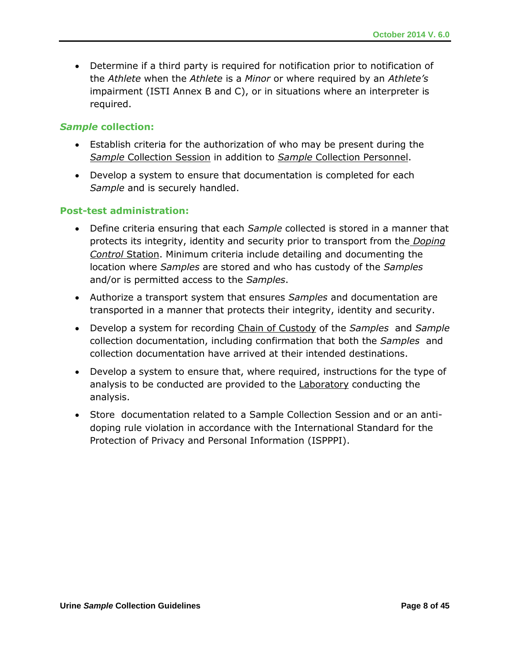Determine if a third party is required for notification prior to notification of the *Athlete* when the *Athlete* is a *Minor* or where required by an *Athlete's*  impairment (ISTI Annex B and C), or in situations where an interpreter is required.

#### *Sample* **collection:**

- Establish criteria for the authorization of who may be present during the *Sample* Collection Session in addition to *Sample* Collection Personnel.
- Develop a system to ensure that documentation is completed for each *Sample* and is securely handled.

#### **Post-test administration:**

- Define criteria ensuring that each *Sample* collected is stored in a manner that protects its integrity, identity and security prior to transport from the *Doping Control* Station. Minimum criteria include detailing and documenting the location where *Samples* are stored and who has custody of the *Samples* and/or is permitted access to the *Samples*.
- Authorize a transport system that ensures *Samples* and documentation are transported in a manner that protects their integrity, identity and security.
- Develop a system for recording Chain of Custody of the *Samples* and *Sample* collection documentation, including confirmation that both the *Samples* and collection documentation have arrived at their intended destinations.
- Develop a system to ensure that, where required, instructions for the type of analysis to be conducted are provided to the **Laboratory** conducting the analysis.
- Store documentation related to a Sample Collection Session and or an antidoping rule violation in accordance with the International Standard for the Protection of Privacy and Personal Information (ISPPPI).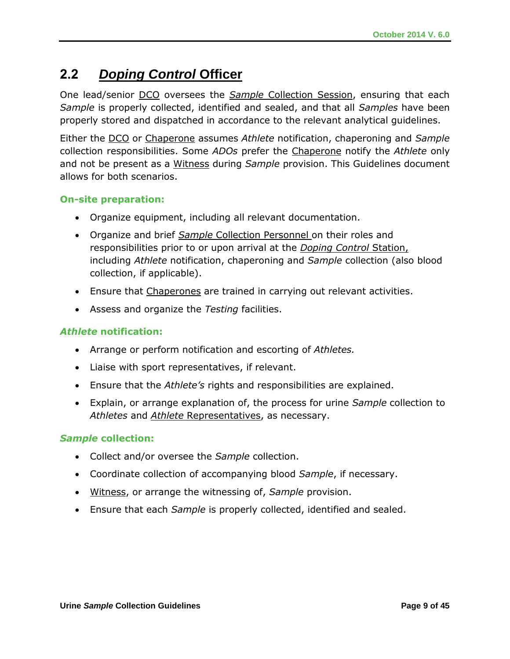# **2.2** *Doping Control* **Officer**

One lead/senior DCO oversees the *Sample* Collection Session, ensuring that each *Sample* is properly collected, identified and sealed, and that all *Samples* have been properly stored and dispatched in accordance to the relevant analytical guidelines.

Either the DCO or Chaperone assumes *Athlete* notification, chaperoning and *Sample*  collection responsibilities. Some *ADOs* prefer the Chaperone notify the *Athlete* only and not be present as a Witness during *Sample* provision. This Guidelines document allows for both scenarios.

#### **On-site preparation:**

- Organize equipment, including all relevant documentation.
- Organize and brief *Sample* Collection Personnel on their roles and responsibilities prior to or upon arrival at the *Doping Control* Station, including *Athlete* notification, chaperoning and *Sample* collection (also blood collection, if applicable).
- **Ensure that Chaperones are trained in carrying out relevant activities.**
- Assess and organize the *Testing* facilities.

#### *Athlete* **notification:**

- Arrange or perform notification and escorting of *Athletes.*
- Liaise with sport representatives, if relevant.
- Ensure that the *Athlete's* rights and responsibilities are explained.
- Explain, or arrange explanation of, the process for urine *Sample* collection to *Athletes* and *Athlete* Representatives, as necessary.

#### *Sample* **collection:**

- Collect and/or oversee the *Sample* collection.
- Coordinate collection of accompanying blood *Sample*, if necessary.
- Witness, or arrange the witnessing of, *Sample* provision.
- Ensure that each *Sample* is properly collected, identified and sealed.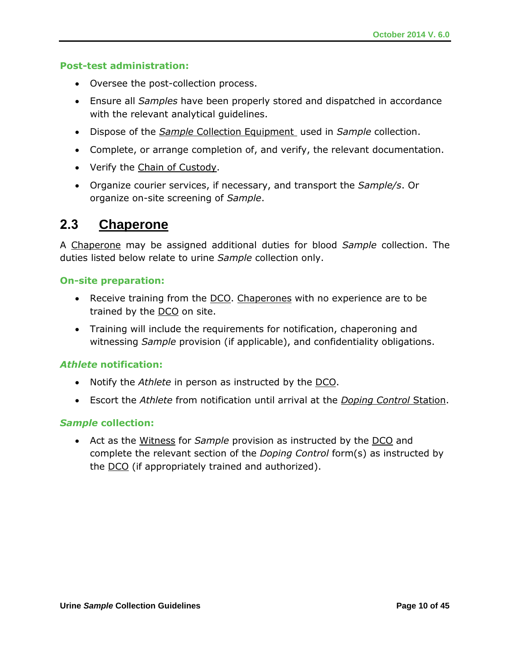#### **Post-test administration:**

- Oversee the post-collection process.
- Ensure all *Samples* have been properly stored and dispatched in accordance with the relevant analytical guidelines.
- Dispose of the *Sample* Collection Equipment used in *Sample* collection.
- Complete, or arrange completion of, and verify, the relevant documentation.
- Verify the Chain of Custody.
- Organize courier services, if necessary, and transport the *Sample/s*. Or organize on-site screening of *Sample*.

### **2.3 Chaperone**

A Chaperone may be assigned additional duties for blood *Sample* collection. The duties listed below relate to urine *Sample* collection only.

#### **On-site preparation:**

- Receive training from the DCO. Chaperones with no experience are to be trained by the DCO on site.
- Training will include the requirements for notification, chaperoning and witnessing *Sample* provision (if applicable), and confidentiality obligations.

#### *Athlete* **notification:**

- Notify the *Athlete* in person as instructed by the DCO.
- Escort the *Athlete* from notification until arrival at the *Doping Control* Station.

#### *Sample* **collection:**

 Act as the Witness for *Sample* provision as instructed by the DCO and complete the relevant section of the *Doping Control* form(s) as instructed by the DCO (if appropriately trained and authorized).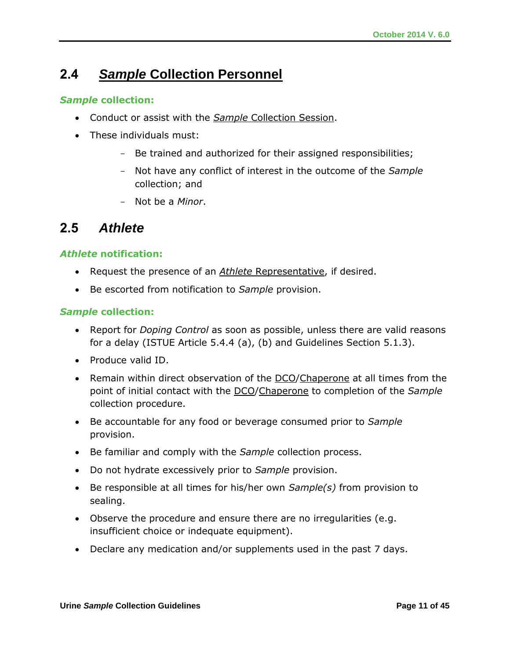# **2.4** *Sample* **Collection Personnel**

#### *Sample* **collection:**

- Conduct or assist with the *Sample* Collection Session.
- These individuals must:
	- Be trained and authorized for their assigned responsibilities;
	- Not have any conflict of interest in the outcome of the *Sample*  collection; and
	- Not be a *Minor*.

### **2.5** *Athlete*

#### *Athlete* **notification:**

- Request the presence of an *Athlete* Representative, if desired.
- Be escorted from notification to *Sample* provision.

#### *Sample* **collection:**

- Report for *Doping Control* as soon as possible, unless there are valid reasons for a delay (ISTUE Article 5.4.4 (a), (b) and Guidelines Section 5.1.3).
- Produce valid ID.
- Remain within direct observation of the DCO/Chaperone at all times from the point of initial contact with the DCO/Chaperone to completion of the *Sample* collection procedure.
- Be accountable for any food or beverage consumed prior to *Sample* provision.
- Be familiar and comply with the *Sample* collection process.
- Do not hydrate excessively prior to *Sample* provision.
- Be responsible at all times for his/her own *Sample(s)* from provision to sealing.
- Observe the procedure and ensure there are no irregularities (e.g. insufficient choice or indequate equipment).
- Declare any medication and/or supplements used in the past 7 days.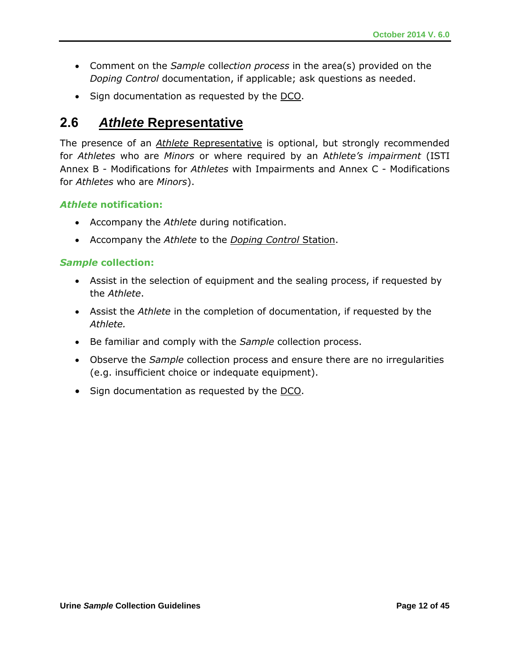- Comment on the *Sample* coll*ection process* in the area(s) provided on the *Doping Control* documentation, if applicable; ask questions as needed.
- Sign documentation as requested by the DCO.

# **2.6** *Athlete* **Representative**

The presence of an *Athlete* Representative is optional, but strongly recommended for *Athletes* who are *Minors* or where required by an A*thlete's impairment* (ISTI Annex B - Modifications for *Athletes* with Impairments and Annex C - Modifications for *Athletes* who are *Minors*).

#### *Athlete* **notification:**

- Accompany the *Athlete* during notification.
- Accompany the *Athlete* to the *Doping Control* Station.

#### *Sample* **collection:**

- Assist in the selection of equipment and the sealing process, if requested by the *Athlete*.
- Assist the *Athlete* in the completion of documentation, if requested by the *Athlete.*
- Be familiar and comply with the *Sample* collection process.
- Observe the *Sample* collection process and ensure there are no irregularities (e.g. insufficient choice or indequate equipment).
- Sign documentation as requested by the DCO.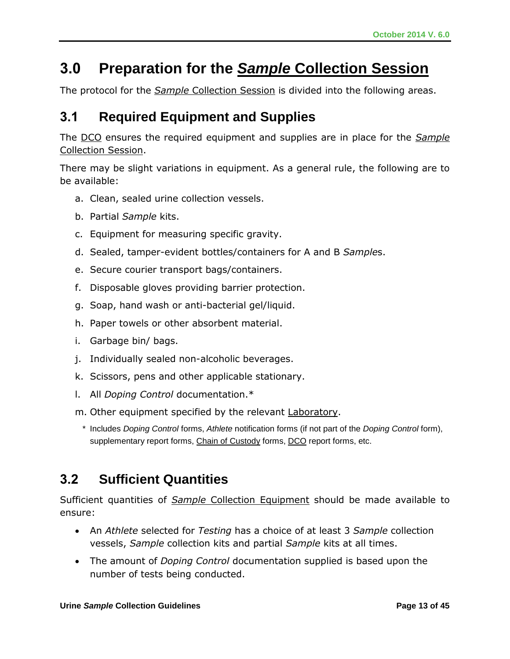# **3.0 Preparation for the** *Sample* **Collection Session**

The protocol for the *Sample* Collection Session is divided into the following areas.

# **3.1 Required Equipment and Supplies**

The DCO ensures the required equipment and supplies are in place for the *Sample* Collection Session.

There may be slight variations in equipment. As a general rule, the following are to be available:

- a. Clean, sealed urine collection vessels.
- b. Partial *Sample* kits.
- c. Equipment for measuring specific gravity.
- d. Sealed, tamper-evident bottles/containers for A and B *Sample*s.
- e. Secure courier transport bags/containers.
- f. Disposable gloves providing barrier protection.
- g. Soap, hand wash or anti-bacterial gel/liquid.
- h. Paper towels or other absorbent material.
- i. Garbage bin/ bags.
- j. Individually sealed non-alcoholic beverages.
- k. Scissors, pens and other applicable stationary.
- l. All *Doping Control* documentation.\*
- m. Other equipment specified by the relevant Laboratory.
- \* Includes *Doping Control* forms, *Athlete* notification forms (if not part of the *Doping Control* form), supplementary report forms, Chain of Custody forms, DCO report forms, etc.

# **3.2 Sufficient Quantities**

Sufficient quantities of *Sample* Collection Equipment should be made available to ensure:

- An *Athlete* selected for *Testing* has a choice of at least 3 *Sample* collection vessels, *Sample* collection kits and partial *Sample* kits at all times.
- The amount of *Doping Control* documentation supplied is based upon the number of tests being conducted.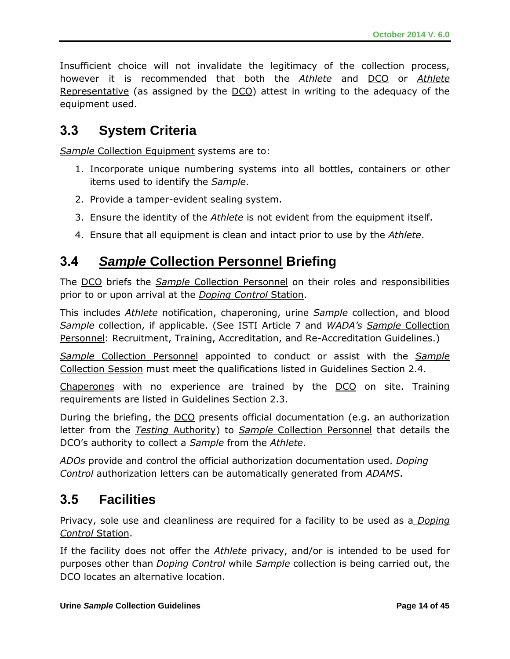Insufficient choice will not invalidate the legitimacy of the collection process, however it is recommended that both the *Athlete* and DCO or *Athlete*  Representative (as assigned by the DCO) attest in writing to the adequacy of the equipment used.

### **3.3 System Criteria**

**Sample Collection Equipment systems are to:** 

- 1. Incorporate unique numbering systems into all bottles, containers or other items used to identify the *Sample*.
- 2. Provide a tamper-evident sealing system.
- 3. Ensure the identity of the *Athlete* is not evident from the equipment itself.
- 4. Ensure that all equipment is clean and intact prior to use by the *Athlete*.

# **3.4** *Sample* **Collection Personnel Briefing**

The DCO briefs the *Sample* Collection Personnel on their roles and responsibilities prior to or upon arrival at the *Doping Control* Station.

This includes *Athlete* notification, chaperoning, urine *Sample* collection, and blood *Sample* collection, if applicable. (See ISTI Article 7 and *WADA's Sample* Collection Personnel: Recruitment, Training, Accreditation, and Re-Accreditation Guidelines.)

*Sample* Collection Personnel appointed to conduct or assist with the *Sample*  Collection Session must meet the qualifications listed in Guidelines Section 2.4.

Chaperones with no experience are trained by the DCO on site. Training requirements are listed in Guidelines Section 2.3.

During the briefing, the DCO presents official documentation (e.g. an authorization letter from the *Testing* Authority) to *Sample* Collection Personnel that details the DCO's authority to collect a *Sample* from the *Athlete*.

*ADOs* provide and control the official authorization documentation used. *Doping Control* authorization letters can be automatically generated from *ADAMS*.

# **3.5 Facilities**

Privacy, sole use and cleanliness are required for a facility to be used as a *Doping Control* Station.

If the facility does not offer the *Athlete* privacy, and/or is intended to be used for purposes other than *Doping Control* while *Sample* collection is being carried out, the DCO locates an alternative location.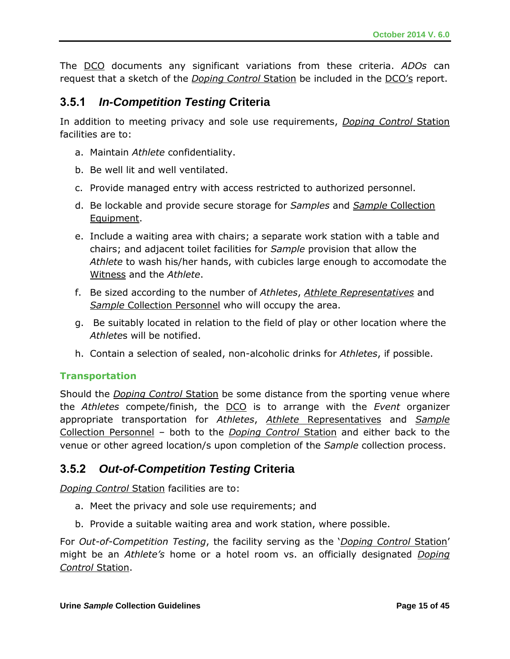The DCO documents any significant variations from these criteria. *ADOs* can request that a sketch of the *Doping Control* Station be included in the DCO's report.

### **3.5.1** *In-Competition Testing* **Criteria**

In addition to meeting privacy and sole use requirements, *Doping Control* Station facilities are to:

- a. Maintain *Athlete* confidentiality.
- b. Be well lit and well ventilated.
- c. Provide managed entry with access restricted to authorized personnel.
- d. Be lockable and provide secure storage for *Samples* and *Sample* Collection Equipment.
- e. Include a waiting area with chairs; a separate work station with a table and chairs; and adjacent toilet facilities for *Sample* provision that allow the *Athlete* to wash his/her hands, with cubicles large enough to accomodate the Witness and the *Athlete*.
- f. Be sized according to the number of *Athletes*, *Athlete Representatives* and **Sample Collection Personnel who will occupy the area.**
- g. Be suitably located in relation to the field of play or other location where the *Athlete*s will be notified.
- h. Contain a selection of sealed, non-alcoholic drinks for *Athletes*, if possible.

#### **Transportation**

Should the *Doping Control* Station be some distance from the sporting venue where the *Athletes* compete/finish, the DCO is to arrange with the *Event* organizer appropriate transportation for *Athletes*, *Athlete* Representatives and *Sample* Collection Personnel – both to the *Doping Control* Station and either back to the venue or other agreed location/s upon completion of the *Sample* collection process.

### **3.5.2** *Out-of-Competition Testing* **Criteria**

*Doping Control* Station facilities are to:

- a. Meet the privacy and sole use requirements; and
- b. Provide a suitable waiting area and work station, where possible.

For *Out-of-Competition Testing*, the facility serving as the '*Doping Control* Station' might be an *Athlete's* home or a hotel room vs. an officially designated *Doping Control* Station.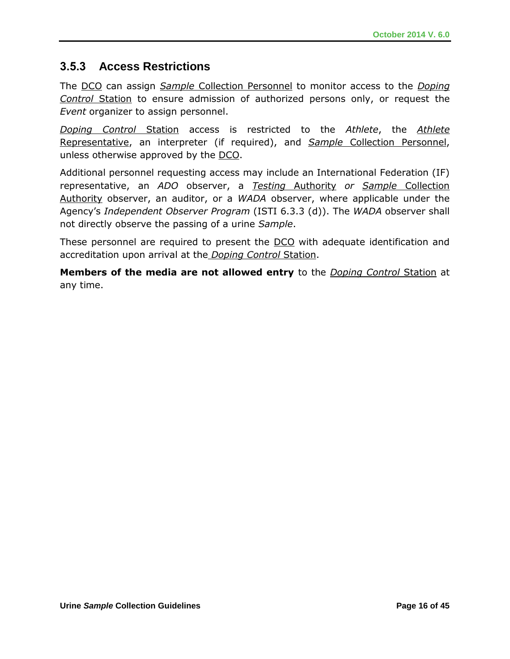### **3.5.3 Access Restrictions**

The DCO can assign *Sample* Collection Personnel to monitor access to the *Doping Control* Station to ensure admission of authorized persons only, or request the *Event* organizer to assign personnel.

*Doping Control* Station access is restricted to the *Athlete*, the *Athlete* Representative, an interpreter (if required), and *Sample* Collection Personnel, unless otherwise approved by the DCO.

Additional personnel requesting access may include an International Federation (IF) representative, an *ADO* observer, a *Testing* Authority *or Sample* Collection Authority observer, an auditor, or a *WADA* observer, where applicable under the Agency's *Independent Observer Program* (ISTI 6.3.3 (d)). The *WADA* observer shall not directly observe the passing of a urine *Sample*.

These personnel are required to present the DCO with adequate identification and accreditation upon arrival at the *Doping Control* Station.

**Members of the media are not allowed entry** to the *Doping Control* Station at any time.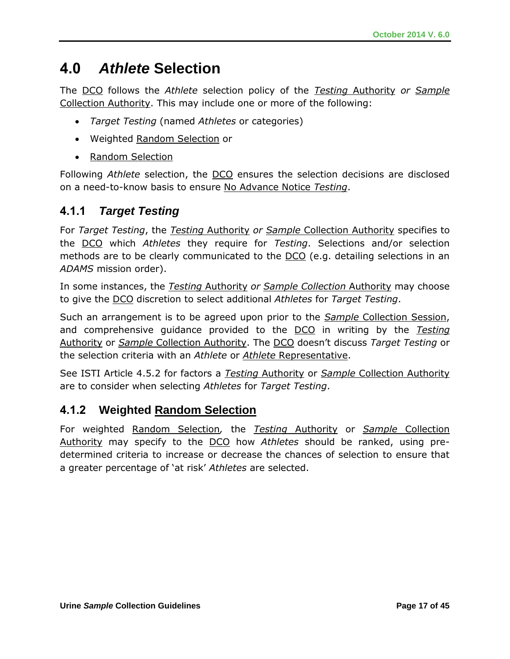# **4.0** *Athlete* **Selection**

The DCO follows the *Athlete* selection policy of the *Testing* Authority *or Sample*  Collection Authority. This may include one or more of the following:

- *Target Testing* (named *Athletes* or categories)
- Weighted Random Selection or
- Random Selection

Following *Athlete* selection, the DCO ensures the selection decisions are disclosed on a need-to-know basis to ensure No Advance Notice *Testing*.

### **4.1.1** *Target Testing*

For *Target Testing*, the *Testing* Authority *or Sample* Collection Authority specifies to the DCO which *Athletes* they require for *Testing*. Selections and/or selection methods are to be clearly communicated to the DCO (e.g. detailing selections in an *ADAMS* mission order).

In some instances, the *Testing* Authority *or Sample Collection* Authority may choose to give the DCO discretion to select additional *Athletes* for *Target Testing*.

Such an arrangement is to be agreed upon prior to the *Sample* Collection Session, and comprehensive guidance provided to the DCO in writing by the *Testing* Authority or *Sample* Collection Authority. The DCO doesn't discuss *Target Testing* or the selection criteria with an *Athlete* or *Athlete* Representative.

See ISTI Article 4.5.2 for factors a *Testing* Authority or *Sample* Collection Authority are to consider when selecting *Athletes* for *Target Testing*.

### **4.1.2 Weighted Random Selection**

For weighted Random Selection*,* the *Testing* Authority or *Sample* Collection Authority may specify to the DCO how *Athletes* should be ranked, using predetermined criteria to increase or decrease the chances of selection to ensure that a greater percentage of 'at risk' *Athletes* are selected.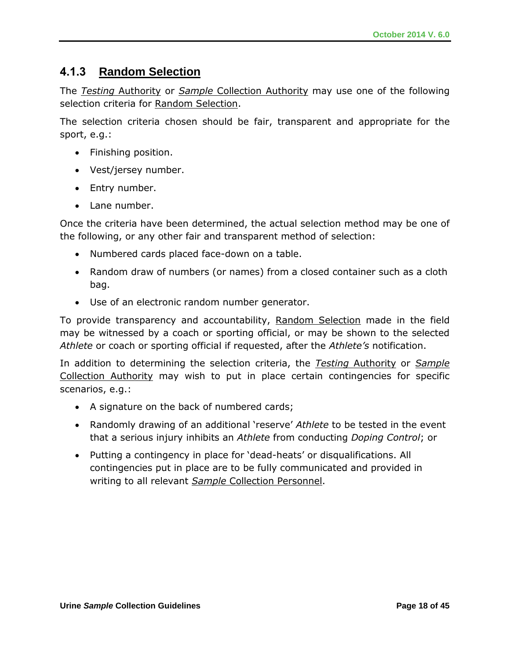### **4.1.3 Random Selection**

The *Testing* Authority or *Sample* Collection Authority may use one of the following selection criteria for Random Selection.

The selection criteria chosen should be fair, transparent and appropriate for the sport, e.g.:

- Finishing position.
- Vest/jersey number.
- Entry number.
- Lane number.

Once the criteria have been determined, the actual selection method may be one of the following, or any other fair and transparent method of selection:

- Numbered cards placed face-down on a table.
- Random draw of numbers (or names) from a closed container such as a cloth bag.
- Use of an electronic random number generator.

To provide transparency and accountability, Random Selection made in the field may be witnessed by a coach or sporting official, or may be shown to the selected *Athlete* or coach or sporting official if requested, after the *Athlete's* notification.

In addition to determining the selection criteria, the *Testing* Authority or *Sample*  Collection Authority may wish to put in place certain contingencies for specific scenarios, e.g.:

- A signature on the back of numbered cards;
- Randomly drawing of an additional 'reserve' *Athlete* to be tested in the event that a serious injury inhibits an *Athlete* from conducting *Doping Control*; or
- Putting a contingency in place for 'dead-heats' or disqualifications. All contingencies put in place are to be fully communicated and provided in writing to all relevant *Sample* Collection Personnel.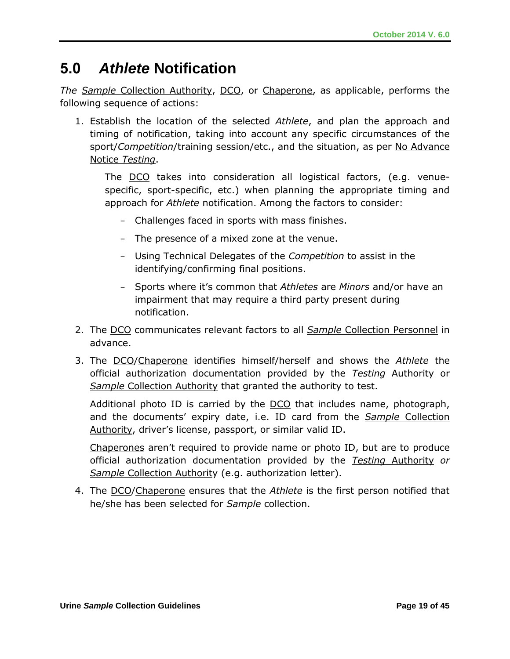# **5.0** *Athlete* **Notification**

*The Sample* Collection Authority, DCO, or Chaperone, as applicable, performs the following sequence of actions:

1. Establish the location of the selected *Athlete*, and plan the approach and timing of notification, taking into account any specific circumstances of the sport/*Competition*/training session/etc., and the situation, as per No Advance Notice *Testing*.

The DCO takes into consideration all logistical factors, (e.g. venuespecific, sport-specific, etc.) when planning the appropriate timing and approach for *Athlete* notification. Among the factors to consider:

- Challenges faced in sports with mass finishes.
- The presence of a mixed zone at the venue.
- Using Technical Delegates of the *Competition* to assist in the identifying/confirming final positions.
- Sports where it's common that *Athletes* are *Minors* and/or have an impairment that may require a third party present during notification.
- 2. The DCO communicates relevant factors to all *Sample* Collection Personnel in advance.
- 3. The DCO/Chaperone identifies himself/herself and shows the *Athlete* the official authorization documentation provided by the *Testing* Authority or *Sample* Collection Authority that granted the authority to test.

Additional photo ID is carried by the  $DCO$  that includes name, photograph, and the documents' expiry date, i.e. ID card from the *Sample* Collection Authority, driver's license, passport, or similar valid ID.

Chaperones aren't required to provide name or photo ID, but are to produce official authorization documentation provided by the *Testing* Authority *or Sample* Collection Authority (e.g. authorization letter).

4. The DCO/Chaperone ensures that the *Athlete* is the first person notified that he/she has been selected for *Sample* collection.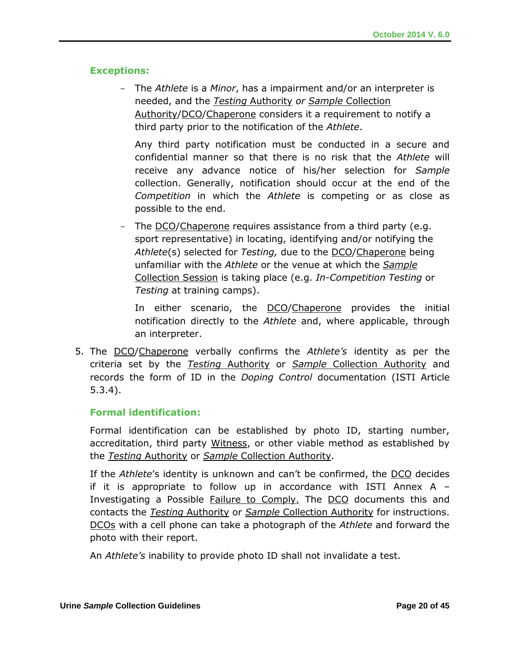#### **Exceptions:**

- The *Athlete* is a *Minor*, has a impairment and/or an interpreter is needed, and the *Testing* Authority *or Sample* Collection Authority/DCO/Chaperone considers it a requirement to notify a third party prior to the notification of the *Athlete*.

Any third party notification must be conducted in a secure and confidential manner so that there is no risk that the *Athlete* will receive any advance notice of his/her selection for *Sample* collection. Generally, notification should occur at the end of the *Competition* in which the *Athlete* is competing or as close as possible to the end.

The DCO/Chaperone requires assistance from a third party (e.g. sport representative) in locating, identifying and/or notifying the *Athlete*(s) selected for *Testing,* due to the DCO/Chaperone being unfamiliar with the *Athlete* or the venue at which the *Sample* Collection Session is taking place (e.g. *In-Competition Testing* or *Testing* at training camps).

In either scenario, the DCO/Chaperone provides the initial notification directly to the *Athlete* and, where applicable, through an interpreter.

5. The DCO/Chaperone verbally confirms the *Athlete's* identity as per the criteria set by the *Testing* Authority or *Sample* Collection Authority and records the form of ID in the *Doping Control* documentation (ISTI Article 5.3.4).

#### **Formal identification:**

Formal identification can be established by photo ID, starting number, accreditation, third party Witness, or other viable method as established by the *Testing* Authority or *Sample* Collection Authority.

If the *Athlete*'s identity is unknown and can't be confirmed, the DCO decides if it is appropriate to follow up in accordance with ISTI Annex  $A -$ Investigating a Possible Failure to Comply. The DCO documents this and contacts the *Testing* Authority or *Sample* Collection Authority for instructions. DCOs with a cell phone can take a photograph of the *Athlete* and forward the photo with their report.

An *Athlete's* inability to provide photo ID shall not invalidate a test.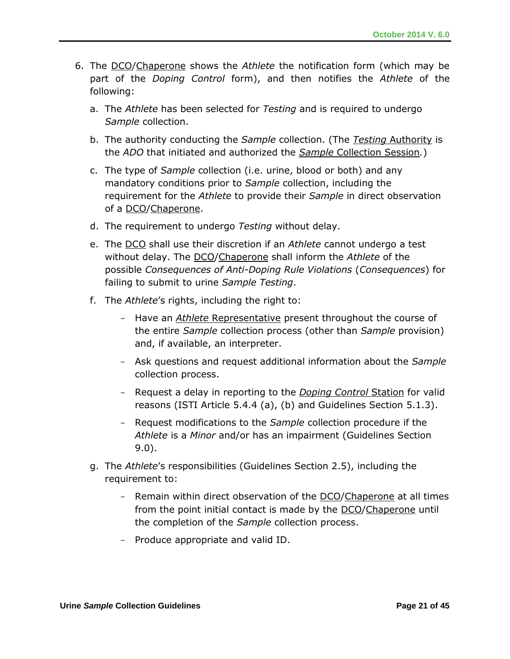- 6. The DCO/Chaperone shows the *Athlete* the notification form (which may be part of the *Doping Control* form), and then notifies the *Athlete* of the following:
	- a. The *Athlete* has been selected for *Testing* and is required to undergo *Sample* collection.
	- b. The authority conducting the *Sample* collection. (The *Testing* Authority is the *ADO* that initiated and authorized the *Sample* Collection Session*.*)
	- c. The type of *Sample* collection (i.e. urine, blood or both) and any mandatory conditions prior to *Sample* collection, including the requirement for the *Athlete* to provide their *Sample* in direct observation of a DCO/Chaperone.
	- d. The requirement to undergo *Testing* without delay.
	- e. The DCO shall use their discretion if an *Athlete* cannot undergo a test without delay. The DCO/Chaperone shall inform the *Athlete* of the possible *Consequences of Anti-Doping Rule Violations* (*Consequences*) for failing to submit to urine *Sample Testing*.
	- f. The *Athlete*'s rights, including the right to:
		- Have an *Athlete* Representative present throughout the course of the entire *Sample* collection process (other than *Sample* provision) and, if available, an interpreter.
		- Ask questions and request additional information about the *Sample* collection process.
		- Request a delay in reporting to the *Doping Control* Station for valid reasons (ISTI Article 5.4.4 (a), (b) and Guidelines Section 5.1.3).
		- Request modifications to the *Sample* collection procedure if the *Athlete* is a *Minor* and/or has an impairment (Guidelines Section 9.0).
	- g. The *Athlete*'s responsibilities (Guidelines Section 2.5), including the requirement to:
		- Remain within direct observation of the DCO/Chaperone at all times from the point initial contact is made by the DCO/Chaperone until the completion of the *Sample* collection process.
		- Produce appropriate and valid ID.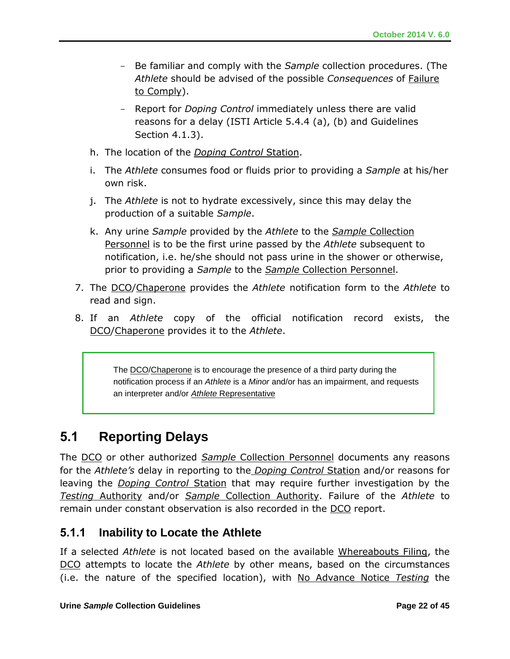- Be familiar and comply with the *Sample* collection procedures. (The *Athlete* should be advised of the possible *Consequences* of Failure to Comply).
- Report for *Doping Control* immediately unless there are valid reasons for a delay (ISTI Article 5.4.4 (a), (b) and Guidelines Section 4.1.3).
- h. The location of the *Doping Control* Station.
- i. The *Athlete* consumes food or fluids prior to providing a *Sample* at his/her own risk.
- j. The *Athlete* is not to hydrate excessively, since this may delay the production of a suitable *Sample*.
- k. Any urine *Sample* provided by the *Athlete* to the *Sample* Collection Personnel is to be the first urine passed by the *Athlete* subsequent to notification, i.e. he/she should not pass urine in the shower or otherwise, prior to providing a *Sample* to the *Sample* Collection Personnel.
- 7. The DCO/Chaperone provides the *Athlete* notification form to the *Athlete* to read and sign.
- 8. If an *Athlete* copy of the official notification record exists, the DCO/Chaperone provides it to the *Athlete*.

The DCO/Chaperone is to encourage the presence of a third party during the notification process if an *Athlete* is a *Minor* and/or has an impairment, and requests an interpreter and/or *Athlete* Representative

# **5.1 Reporting Delays**

The DCO or other authorized *Sample* Collection Personnel documents any reasons for the *Athlete's* delay in reporting to the *Doping Control* Station and/or reasons for leaving the *Doping Control* Station that may require further investigation by the *Testing* Authority and/or *Sample* Collection Authority. Failure of the *Athlete* to remain under constant observation is also recorded in the DCO report.

### **5.1.1 Inability to Locate the Athlete**

If a selected *Athlete* is not located based on the available Whereabouts Filing, the DCO attempts to locate the *Athlete* by other means, based on the circumstances (i.e. the nature of the specified location), with No Advance Notice *Testing* the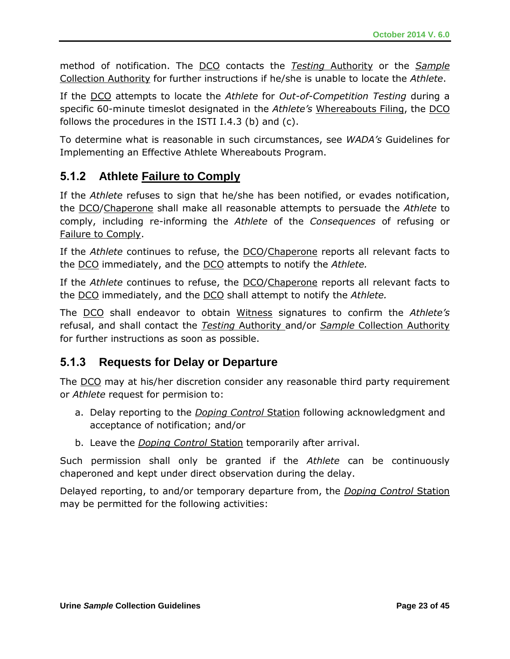method of notification. The DCO contacts the *Testing* Authority or the *Sample*  Collection Authority for further instructions if he/she is unable to locate the *Athlete*.

If the DCO attempts to locate the *Athlete* for *Out-of-Competition Testing* during a specific 60-minute timeslot designated in the *Athlete's* Whereabouts Filing, the DCO follows the procedures in the ISTI I.4.3 (b) and  $(c)$ .

To determine what is reasonable in such circumstances, see *WADA's* Guidelines for Implementing an Effective Athlete Whereabouts Program.

### **5.1.2 Athlete Failure to Comply**

If the *Athlete* refuses to sign that he/she has been notified, or evades notification, the DCO/Chaperone shall make all reasonable attempts to persuade the *Athlete* to comply, including re-informing the *Athlete* of the *Consequences* of refusing or Failure to Comply.

If the *Athlete* continues to refuse, the DCO/Chaperone reports all relevant facts to the DCO immediately, and the DCO attempts to notify the *Athlete.*

If the *Athlete* continues to refuse, the DCO/Chaperone reports all relevant facts to the DCO immediately, and the DCO shall attempt to notify the *Athlete.*

The DCO shall endeavor to obtain Witness signatures to confirm the *Athlete's* refusal, and shall contact the *Testing* Authority and/or *Sample* Collection Authority for further instructions as soon as possible.

### **5.1.3 Requests for Delay or Departure**

The <u>DCO</u> may at his/her discretion consider any reasonable third party requirement or *Athlete* request for permision to:

- a. Delay reporting to the *Doping Control* Station following acknowledgment and acceptance of notification; and/or
- b. Leave the *Doping Control* Station temporarily after arrival.

Such permission shall only be granted if the *Athlete* can be continuously chaperoned and kept under direct observation during the delay.

Delayed reporting, to and/or temporary departure from, the *Doping Control* Station may be permitted for the following activities: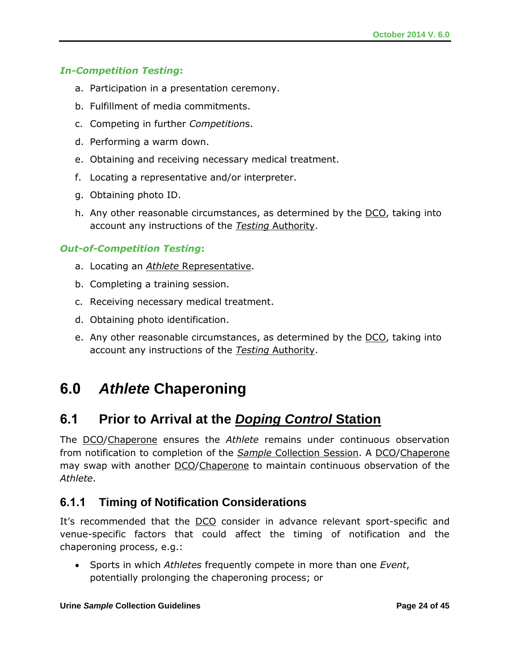#### *In-Competition Testing***:**

- a. Participation in a presentation ceremony.
- b. Fulfillment of media commitments.
- c. Competing in further *Competition*s.
- d. Performing a warm down.
- e. Obtaining and receiving necessary medical treatment.
- f. Locating a representative and/or interpreter.
- g. Obtaining photo ID.
- h. Any other reasonable circumstances, as determined by the **DCO**, taking into account any instructions of the *Testing* Authority.

#### *Out-of-Competition Testing***:**

- a. Locating an *Athlete* Representative.
- b. Completing a training session.
- c. Receiving necessary medical treatment.
- d. Obtaining photo identification.
- e. Any other reasonable circumstances, as determined by the DCO, taking into account any instructions of the *Testing* Authority.

# **6.0** *Athlete* **Chaperoning**

# **6.1 Prior to Arrival at the** *Doping Control* **Station**

The DCO/Chaperone ensures the *Athlete* remains under continuous observation from notification to completion of the *Sample* Collection Session. A DCO/Chaperone may swap with another DCO/Chaperone to maintain continuous observation of the *Athlete*.

### **6.1.1 Timing of Notification Considerations**

It's recommended that the **DCO** consider in advance relevant sport-specific and venue-specific factors that could affect the timing of notification and the chaperoning process, e.g.:

 Sports in which *Athletes* frequently compete in more than one *Event*, potentially prolonging the chaperoning process; or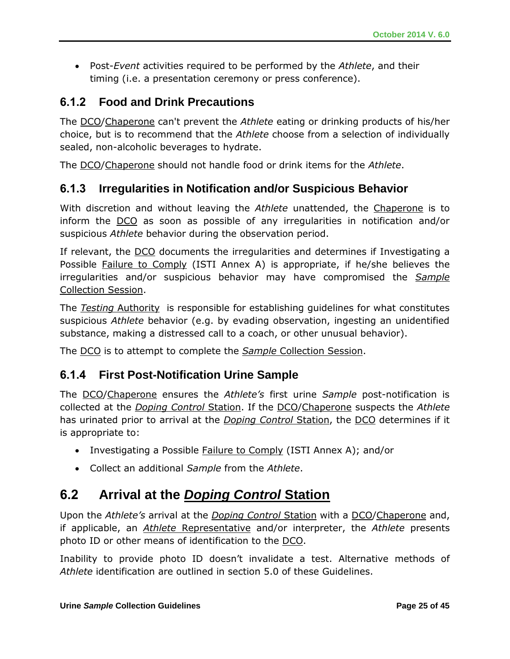Post-*Event* activities required to be performed by the *Athlete*, and their timing (i.e. a presentation ceremony or press conference).

### **6.1.2 Food and Drink Precautions**

The DCO/Chaperone can't prevent the *Athlete* eating or drinking products of his/her choice, but is to recommend that the *Athlete* choose from a selection of individually sealed, non-alcoholic beverages to hydrate.

The DCO/Chaperone should not handle food or drink items for the *Athlete*.

### **6.1.3 Irregularities in Notification and/or Suspicious Behavior**

With discretion and without leaving the *Athlete* unattended, the Chaperone is to inform the DCO as soon as possible of any irregularities in notification and/or suspicious *Athlete* behavior during the observation period.

If relevant, the DCO documents the irregularities and determines if Investigating a Possible Failure to Comply (ISTI Annex A) is appropriate, if he/she believes the irregularities and/or suspicious behavior may have compromised the *Sample* Collection Session.

The *Testing* Authority is responsible for establishing guidelines for what constitutes suspicious *Athlete* behavior (e.g. by evading observation, ingesting an unidentified substance, making a distressed call to a coach, or other unusual behavior).

The DCO is to attempt to complete the *Sample* Collection Session.

### **6.1.4 First Post-Notification Urine Sample**

The DCO/Chaperone ensures the *Athlete's* first urine *Sample* post-notification is collected at the *Doping Control* Station. If the DCO/Chaperone suspects the *Athlete*  has urinated prior to arrival at the *Doping Control* Station, the DCO determines if it is appropriate to:

- Investigating a Possible Failure to Comply (ISTI Annex A); and/or
- Collect an additional *Sample* from the *Athlete*.

# **6.2 Arrival at the** *Doping Control* **Station**

Upon the *Athlete's* arrival at the *Doping Control* Station with a DCO/Chaperone and, if applicable, an *Athlete* Representative and/or interpreter, the *Athlete* presents photo ID or other means of identification to the DCO.

Inability to provide photo ID doesn't invalidate a test. Alternative methods of *Athlete* identification are outlined in section 5.0 of these Guidelines.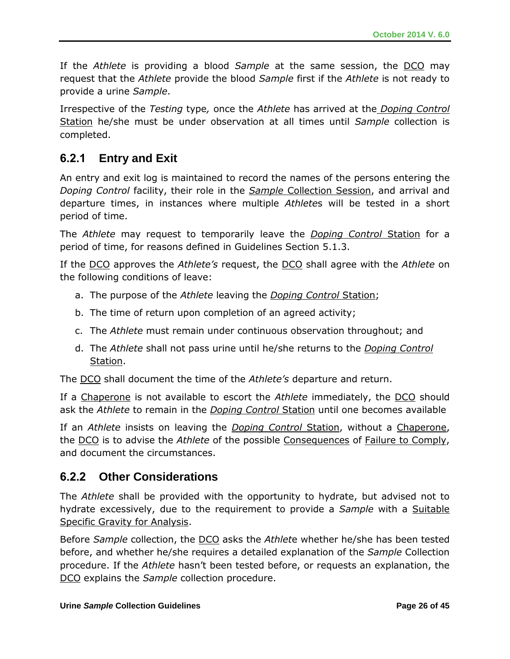If the *Athlete* is providing a blood *Sample* at the same session, the DCO may request that the *Athlete* provide the blood *Sample* first if the *Athlete* is not ready to provide a urine *Sample*.

Irrespective of the *Testing* type*,* once the *Athlete* has arrived at the *Doping Control*  Station he/she must be under observation at all times until *Sample* collection is completed.

### **6.2.1 Entry and Exit**

An entry and exit log is maintained to record the names of the persons entering the *Doping Control* facility, their role in the *Sample* Collection Session, and arrival and departure times, in instances where multiple *Athlete*s will be tested in a short period of time.

The *Athlete* may request to temporarily leave the *Doping Control* Station for a period of time, for reasons defined in Guidelines Section 5.1.3.

If the DCO approves the *Athlete's* request, the DCO shall agree with the *Athlete* on the following conditions of leave:

- a. The purpose of the *Athlete* leaving the *Doping Control* Station;
- b. The time of return upon completion of an agreed activity;
- c. The *Athlete* must remain under continuous observation throughout; and
- d. The *Athlete* shall not pass urine until he/she returns to the *Doping Control* Station.

The DCO shall document the time of the *Athlete's* departure and return.

If a Chaperone is not available to escort the *Athlete* immediately, the DCO should ask the *Athlete* to remain in the *Doping Control* Station until one becomes available

If an *Athlete* insists on leaving the *Doping Control* Station, without a Chaperone, the DCO is to advise the *Athlete* of the possible Consequences of Failure to Comply, and document the circumstances.

### **6.2.2 Other Considerations**

The *Athlete* shall be provided with the opportunity to hydrate, but advised not to hydrate excessively, due to the requirement to provide a *Sample* with a Suitable Specific Gravity for Analysis.

Before *Sample* collection, the DCO asks the *Athlet*e whether he/she has been tested before, and whether he/she requires a detailed explanation of the *Sample* Collection procedure. If the *Athlete* hasn't been tested before, or requests an explanation, the DCO explains the *Sample* collection procedure.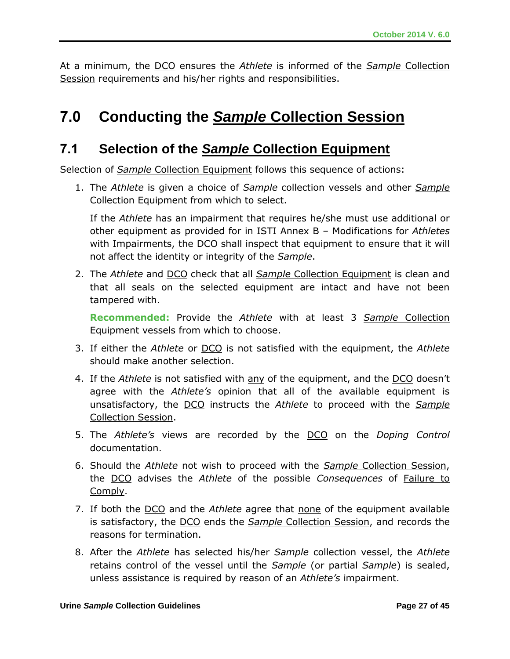At a minimum, the DCO ensures the *Athlete* is informed of the *Sample* Collection Session requirements and his/her rights and responsibilities.

# **7.0 Conducting the** *Sample* **Collection Session**

### **7.1 Selection of the** *Sample* **Collection Equipment**

Selection of *Sample* Collection Equipment follows this sequence of actions:

1. The *Athlete* is given a choice of *Sample* collection vessels and other *Sample* Collection Equipment from which to select.

If the *Athlete* has an impairment that requires he/she must use additional or other equipment as provided for in ISTI Annex B – Modifications for *Athletes* with Impairments, the DCO shall inspect that equipment to ensure that it will not affect the identity or integrity of the *Sample*.

2. The *Athlete* and DCO check that all *Sample* Collection Equipment is clean and that all seals on the selected equipment are intact and have not been tampered with.

**Recommended:** Provide the *Athlete* with at least 3 *Sample* Collection Equipment vessels from which to choose.

- 3. If either the *Athlete* or DCO is not satisfied with the equipment, the *Athlete* should make another selection.
- 4. If the *Athlete* is not satisfied with any of the equipment, and the DCO doesn't agree with the *Athlete's* opinion that all of the available equipment is unsatisfactory, the DCO instructs the *Athlete* to proceed with the *Sample* Collection Session.
- 5. The *Athlete's* views are recorded by the DCO on the *Doping Control* documentation.
- 6. Should the *Athlete* not wish to proceed with the *Sample* Collection Session, the DCO advises the *Athlete* of the possible *Consequences* of Failure to Comply.
- 7. If both the DCO and the *Athlete* agree that none of the equipment available is satisfactory, the DCO ends the *Sample* Collection Session, and records the reasons for termination.
- 8. After the *Athlete* has selected his/her *Sample* collection vessel, the *Athlete*  retains control of the vessel until the *Sample* (or partial *Sample*) is sealed, unless assistance is required by reason of an *Athlete's* impairment.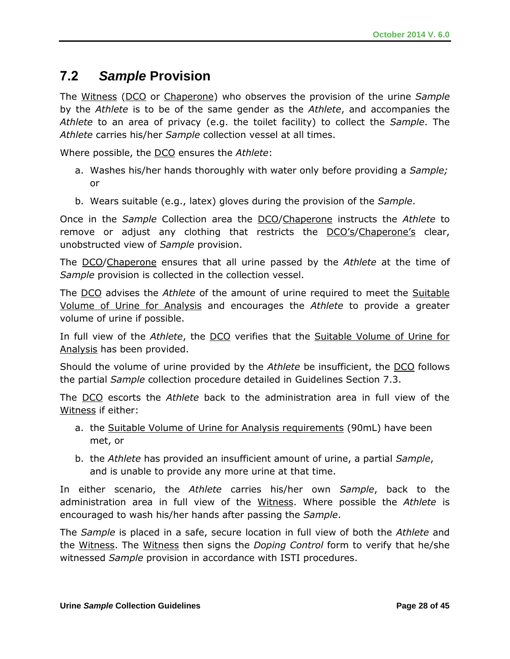# **7.2** *Sample* **Provision**

The Witness (DCO or Chaperone) who observes the provision of the urine *Sample* by the *Athlete* is to be of the same gender as the *Athlete*, and accompanies the *Athlete* to an area of privacy (e.g. the toilet facility) to collect the *Sample*. The *Athlete* carries his/her *Sample* collection vessel at all times.

Where possible, the DCO ensures the *Athlete*:

- a. Washes his/her hands thoroughly with water only before providing a *Sample;* or
- b. Wears suitable (e.g., latex) gloves during the provision of the *Sample*.

Once in the *Sample* Collection area the DCO/Chaperone instructs the *Athlete* to remove or adjust any clothing that restricts the DCO's/Chaperone's clear, unobstructed view of *Sample* provision.

The DCO/Chaperone ensures that all urine passed by the *Athlete* at the time of *Sample* provision is collected in the collection vessel.

The DCO advises the *Athlete* of the amount of urine required to meet the Suitable Volume of Urine for Analysis and encourages the *Athlete* to provide a greater volume of urine if possible.

In full view of the *Athlete*, the DCO verifies that the Suitable Volume of Urine for Analysis has been provided.

Should the volume of urine provided by the *Athlete* be insufficient, the DCO follows the partial *Sample* collection procedure detailed in Guidelines Section 7.3.

The DCO escorts the *Athlete* back to the administration area in full view of the Witness if either:

- a. the Suitable Volume of Urine for Analysis requirements (90mL) have been met, or
- b. the *Athlete* has provided an insufficient amount of urine, a partial *Sample*, and is unable to provide any more urine at that time.

In either scenario, the *Athlete* carries his/her own *Sample*, back to the administration area in full view of the Witness. Where possible the *Athlete* is encouraged to wash his/her hands after passing the *Sample*.

The *Sample* is placed in a safe, secure location in full view of both the *Athlete* and the Witness. The Witness then signs the *Doping Control* form to verify that he/she witnessed *Sample* provision in accordance with ISTI procedures.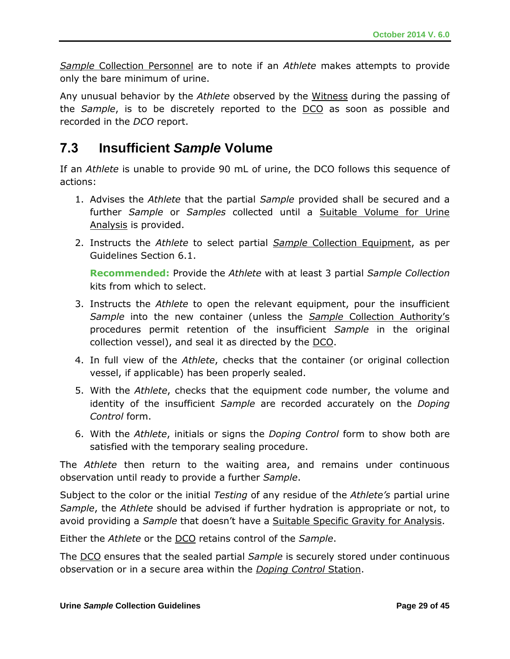*Sample* Collection Personnel are to note if an *Athlete* makes attempts to provide only the bare minimum of urine.

Any unusual behavior by the *Athlete* observed by the Witness during the passing of the *Sample*, is to be discretely reported to the DCO as soon as possible and recorded in the *DCO* report.

# **7.3 Insufficient** *Sample* **Volume**

If an *Athlete* is unable to provide 90 mL of urine, the DCO follows this sequence of actions:

- 1. Advises the *Athlete* that the partial *Sample* provided shall be secured and a further *Sample* or *Samples* collected until a Suitable Volume for Urine Analysis is provided.
- 2. Instructs the *Athlete* to select partial *Sample* Collection Equipment, as per Guidelines Section 6.1.

**Recommended:** Provide the *Athlete* with at least 3 partial *Sample Collection* kits from which to select.

- 3. Instructs the *Athlete* to open the relevant equipment, pour the insufficient *Sample* into the new container (unless the *Sample* Collection Authority's procedures permit retention of the insufficient *Sample* in the original collection vessel), and seal it as directed by the DCO.
- 4. In full view of the *Athlete*, checks that the container (or original collection vessel, if applicable) has been properly sealed.
- 5. With the *Athlete*, checks that the equipment code number, the volume and identity of the insufficient *Sample* are recorded accurately on the *Doping Control* form.
- 6. With the *Athlete*, initials or signs the *Doping Control* form to show both are satisfied with the temporary sealing procedure.

The *Athlete* then return to the waiting area, and remains under continuous observation until ready to provide a further *Sample*.

Subject to the color or the initial *Testing* of any residue of the *Athlete's* partial urine *Sample*, the *Athlete* should be advised if further hydration is appropriate or not, to avoid providing a *Sample* that doesn't have a Suitable Specific Gravity for Analysis.

Either the *Athlete* or the DCO retains control of the *Sample*.

The DCO ensures that the sealed partial *Sample* is securely stored under continuous observation or in a secure area within the *Doping Control* Station.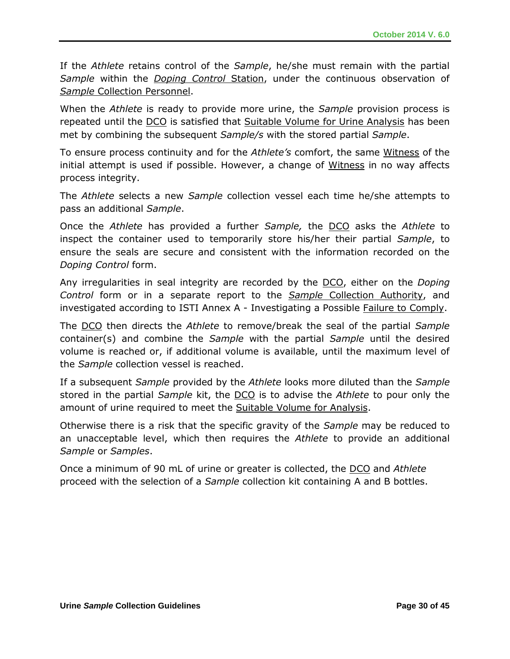If the *Athlete* retains control of the *Sample*, he/she must remain with the partial *Sample* within the *Doping Control* Station, under the continuous observation of *Sample* Collection Personnel.

When the *Athlete* is ready to provide more urine, the *Sample* provision process is repeated until the DCO is satisfied that Suitable Volume for Urine Analysis has been met by combining the subsequent *Sample/s* with the stored partial *Sample*.

To ensure process continuity and for the *Athlete's* comfort, the same Witness of the initial attempt is used if possible. However, a change of Witness in no way affects process integrity.

The *Athlete* selects a new *Sample* collection vessel each time he/she attempts to pass an additional *Sample*.

Once the *Athlete* has provided a further *Sample,* the DCO asks the *Athlete* to inspect the container used to temporarily store his/her their partial *Sample*, to ensure the seals are secure and consistent with the information recorded on the *Doping Control* form.

Any irregularities in seal integrity are recorded by the DCO, either on the *Doping Control* form or in a separate report to the *Sample* Collection Authority, and investigated according to ISTI Annex A - Investigating a Possible Failure to Comply.

The DCO then directs the *Athlete* to remove/break the seal of the partial *Sample* container(s) and combine the *Sample* with the partial *Sample* until the desired volume is reached or, if additional volume is available, until the maximum level of the *Sample* collection vessel is reached.

If a subsequent *Sample* provided by the *Athlete* looks more diluted than the *Sample* stored in the partial *Sample* kit, the DCO is to advise the *Athlete* to pour only the amount of urine required to meet the Suitable Volume for Analysis.

Otherwise there is a risk that the specific gravity of the *Sample* may be reduced to an unacceptable level, which then requires the *Athlete* to provide an additional *Sample* or *Samples*.

Once a minimum of 90 mL of urine or greater is collected, the DCO and *Athlete* proceed with the selection of a *Sample* collection kit containing A and B bottles.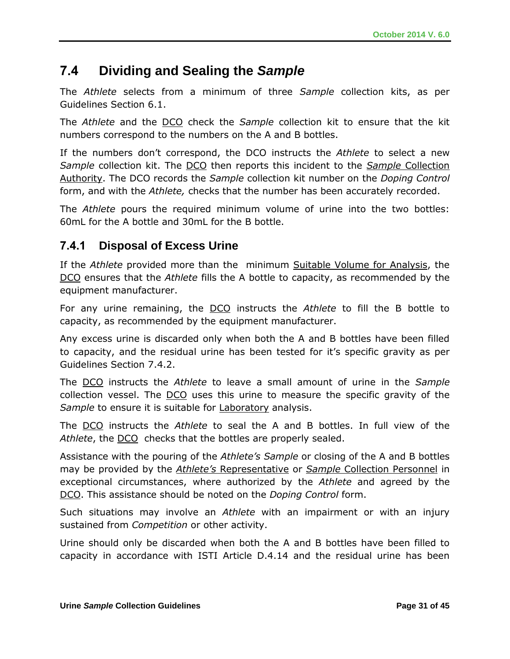# **7.4 Dividing and Sealing the** *Sample*

The *Athlete* selects from a minimum of three *Sample* collection kits, as per Guidelines Section 6.1.

The *Athlete* and the DCO check the *Sample* collection kit to ensure that the kit numbers correspond to the numbers on the A and B bottles.

If the numbers don't correspond, the DCO instructs the *Athlete* to select a new *Sample* collection kit. The DCO then reports this incident to the *Sample* Collection Authority. The DCO records the *Sample* collection kit number on the *Doping Control*  form, and with the *Athlete,* checks that the number has been accurately recorded.

The *Athlete* pours the required minimum volume of urine into the two bottles: 60mL for the A bottle and 30mL for the B bottle.

### **7.4.1 Disposal of Excess Urine**

If the *Athlete* provided more than the minimum Suitable Volume for Analysis, the DCO ensures that the *Athlete* fills the A bottle to capacity, as recommended by the equipment manufacturer.

For any urine remaining, the DCO instructs the *Athlete* to fill the B bottle to capacity, as recommended by the equipment manufacturer.

Any excess urine is discarded only when both the A and B bottles have been filled to capacity, and the residual urine has been tested for it's specific gravity as per Guidelines Section 7.4.2.

The DCO instructs the *Athlete* to leave a small amount of urine in the *Sample*  collection vessel. The DCO uses this urine to measure the specific gravity of the *Sample* to ensure it is suitable for Laboratory analysis.

The DCO instructs the *Athlete* to seal the A and B bottles. In full view of the Athlete, the **DCO** checks that the bottles are properly sealed.

Assistance with the pouring of the *Athlete's Sample* or closing of the A and B bottles may be provided by the *Athlete's* Representative or *Sample* Collection Personnel in exceptional circumstances, where authorized by the *Athlete* and agreed by the DCO. This assistance should be noted on the *Doping Control* form.

Such situations may involve an *Athlete* with an impairment or with an injury sustained from *Competition* or other activity.

Urine should only be discarded when both the A and B bottles have been filled to capacity in accordance with ISTI Article D.4.14 and the residual urine has been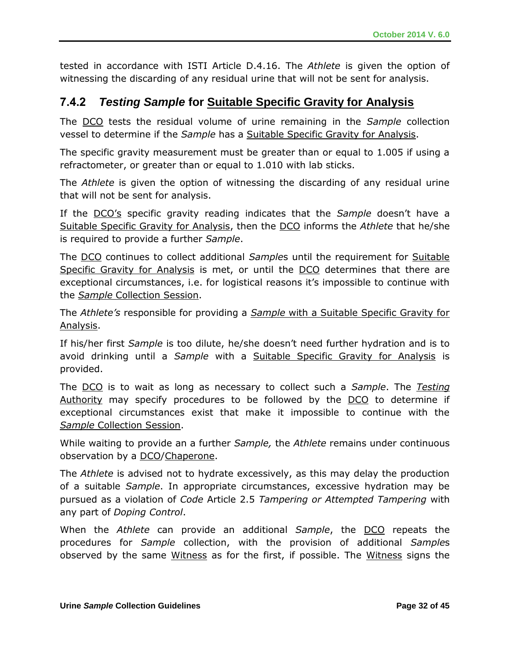tested in accordance with ISTI Article D.4.16. The *Athlete* is given the option of witnessing the discarding of any residual urine that will not be sent for analysis.

### **7.4.2** *Testing Sample* **for Suitable Specific Gravity for Analysis**

The DCO tests the residual volume of urine remaining in the *Sample* collection vessel to determine if the *Sample* has a Suitable Specific Gravity for Analysis.

The specific gravity measurement must be greater than or equal to 1.005 if using a refractometer, or greater than or equal to 1.010 with lab sticks.

The *Athlete* is given the option of witnessing the discarding of any residual urine that will not be sent for analysis.

If the DCO's specific gravity reading indicates that the *Sample* doesn't have a Suitable Specific Gravity for Analysis, then the DCO informs the *Athlete* that he/she is required to provide a further *Sample*.

The DCO continues to collect additional *Sample*s until the requirement for Suitable Specific Gravity for Analysis is met, or until the DCO determines that there are exceptional circumstances, i.e. for logistical reasons it's impossible to continue with the *Sample* Collection Session.

The *Athlete's* responsible for providing a *Sample* with a Suitable Specific Gravity for Analysis.

If his/her first *Sample* is too dilute, he/she doesn't need further hydration and is to avoid drinking until a *Sample* with a Suitable Specific Gravity for Analysis is provided.

The DCO is to wait as long as necessary to collect such a *Sample*. The *Testing*  Authority may specify procedures to be followed by the DCO to determine if exceptional circumstances exist that make it impossible to continue with the *Sample* Collection Session.

While waiting to provide an a further *Sample,* the *Athlete* remains under continuous observation by a DCO/Chaperone.

The *Athlete* is advised not to hydrate excessively, as this may delay the production of a suitable *Sample*. In appropriate circumstances, excessive hydration may be pursued as a violation of *Code* Article 2.5 *Tampering or Attempted Tampering* with any part of *Doping Control*.

When the *Athlete* can provide an additional *Sample*, the DCO repeats the procedures for *Sample* collection, with the provision of additional *Sample*s observed by the same Witness as for the first, if possible. The Witness signs the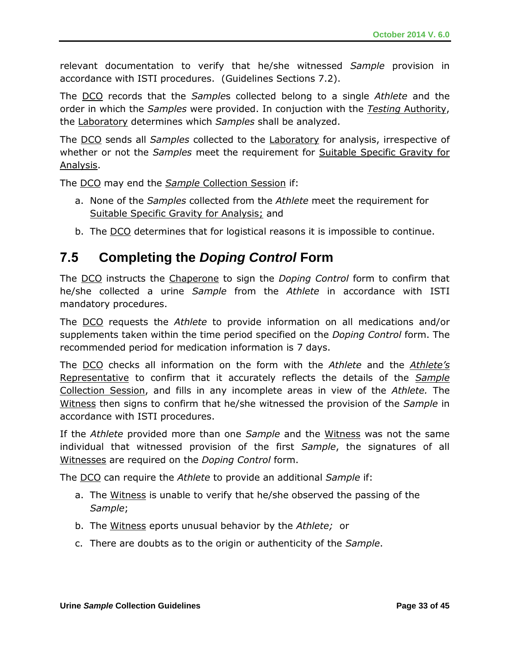relevant documentation to verify that he/she witnessed *Sample* provision in accordance with ISTI procedures. (Guidelines Sections 7.2).

The DCO records that the *Sample*s collected belong to a single *Athlete* and the order in which the *Samples* were provided. In conjuction with the *Testing* Authority, the Laboratory determines which *Samples* shall be analyzed.

The DCO sends all *Samples* collected to the Laboratory for analysis, irrespective of whether or not the *Samples* meet the requirement for Suitable Specific Gravity for Analysis.

The DCO may end the *Sample* Collection Session if:

- a. None of the *Samples* collected from the *Athlete* meet the requirement for Suitable Specific Gravity for Analysis; and
- b. The DCO determines that for logistical reasons it is impossible to continue.

# **7.5 Completing the** *Doping Control* **Form**

The DCO instructs the Chaperone to sign the *Doping Control* form to confirm that he/she collected a urine *Sample* from the *Athlete* in accordance with ISTI mandatory procedures.

The DCO requests the *Athlete* to provide information on all medications and/or supplements taken within the time period specified on the *Doping Control* form. The recommended period for medication information is 7 days.

The DCO checks all information on the form with the *Athlete* and the *Athlete's*  Representative to confirm that it accurately reflects the details of the *Sample*  Collection Session, and fills in any incomplete areas in view of the *Athlete.* The Witness then signs to confirm that he/she witnessed the provision of the *Sample* in accordance with ISTI procedures.

If the *Athlete* provided more than one *Sample* and the Witness was not the same individual that witnessed provision of the first *Sample*, the signatures of all Witnesses are required on the *Doping Control* form.

The DCO can require the *Athlete* to provide an additional *Sample* if:

- a. The Witness is unable to verify that he/she observed the passing of the *Sample*;
- b. The Witness eports unusual behavior by the *Athlete;* or
- c. There are doubts as to the origin or authenticity of the *Sample*.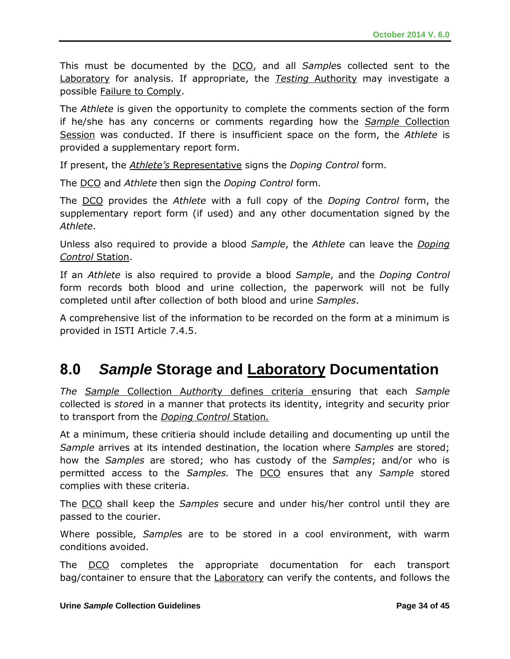This must be documented by the DCO, and all *Sample*s collected sent to the Laboratory for analysis. If appropriate, the *Testing* Authority may investigate a possible Failure to Comply.

The *Athlete* is given the opportunity to complete the comments section of the form if he/she has any concerns or comments regarding how the *Sample* Collection Session was conducted. If there is insufficient space on the form, the *Athlete* is provided a supplementary report form.

If present, the *Athlete's* Representative signs the *Doping Control* form.

The DCO and *Athlete* then sign the *Doping Control* form.

The DCO provides the *Athlete* with a full copy of the *Doping Control* form, the supplementary report form (if used) and any other documentation signed by the *Athlete*.

Unless also required to provide a blood *Sample*, the *Athlete* can leave the *Doping Control* Station.

If an *Athlete* is also required to provide a blood *Sample*, and the *Doping Control* form records both blood and urine collection, the paperwork will not be fully completed until after collection of both blood and urine *Samples*.

A comprehensive list of the information to be recorded on the form at a minimum is provided in ISTI Article 7.4.5.

# **8.0** *Sample* **Storage and Laboratory Documentation**

*The Sample* Collection A*uthori*ty defines criteria ensuring that each *Sample* collected is *store*d in a manner that protects its identity, integrity and security prior to transport from the *Doping Control* Station*.* 

At a minimum, these critieria should include detailing and documenting up until the *Sample* arrives at its intended destination, the location where *Samples* are stored; how the *Samples* are stored; who has custody of the *Samples*; and/or who is permitted access to the *Samples.* The DCO ensures that any *Sample* stored complies with these criteria.

The DCO shall keep the *Samples* secure and under his/her control until they are passed to the courier.

Where possible, *Sample*s are to be stored in a cool environment, with warm conditions avoided.

The DCO completes the appropriate documentation for each transport bag/container to ensure that the Laboratory can verify the contents, and follows the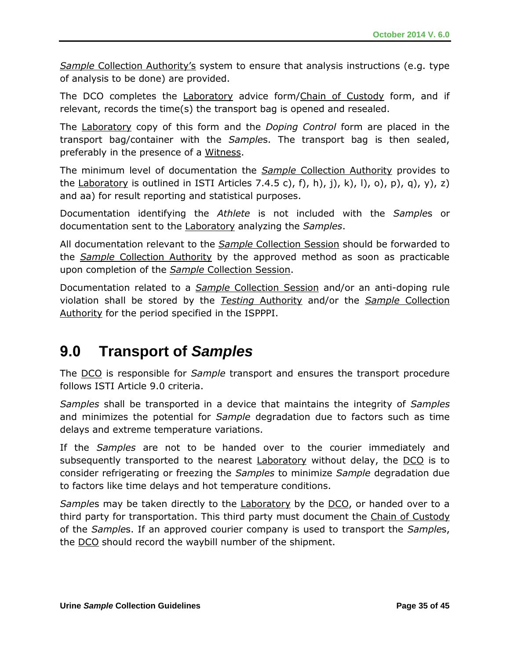*Sample* Collection Authority's system to ensure that analysis instructions (e.g. type of analysis to be done) are provided.

The DCO completes the Laboratory advice form/Chain of Custody form, and if relevant, records the time(s) the transport bag is opened and resealed.

The Laboratory copy of this form and the *Doping Control* form are placed in the transport bag/container with the *Sample*s. The transport bag is then sealed, preferably in the presence of a Witness.

The minimum level of documentation the *Sample* Collection Authority provides to the Laboratory is outlined in ISTI Articles 7.4.5 c), f), h), j), k), l), o), p), q), y), z) and aa) for result reporting and statistical purposes.

Documentation identifying the *Athlete* is not included with the *Sample*s or documentation sent to the Laboratory analyzing the *Samples*.

All documentation relevant to the *Sample* Collection Session should be forwarded to the *Sample* Collection Authority by the approved method as soon as practicable upon completion of the *Sample* Collection Session.

Documentation related to a *Sample* Collection Session and/or an anti-doping rule violation shall be stored by the *Testing* Authority and/or the *Sample* Collection Authority for the period specified in the ISPPPI.

# **9.0 Transport of** *Samples*

The DCO is responsible for *Sample* transport and ensures the transport procedure follows ISTI Article 9.0 criteria.

*Samples* shall be transported in a device that maintains the integrity of *Samples* and minimizes the potential for *Sample* degradation due to factors such as time delays and extreme temperature variations.

If the *Samples* are not to be handed over to the courier immediately and subsequently transported to the nearest Laboratory without delay, the DCO is to consider refrigerating or freezing the *Samples* to minimize *Sample* degradation due to factors like time delays and hot temperature conditions.

*Samples* may be taken directly to the **Laboratory** by the DCO, or handed over to a third party for transportation. This third party must document the Chain of Custody of the *Sample*s. If an approved courier company is used to transport the *Sample*s, the DCO should record the waybill number of the shipment.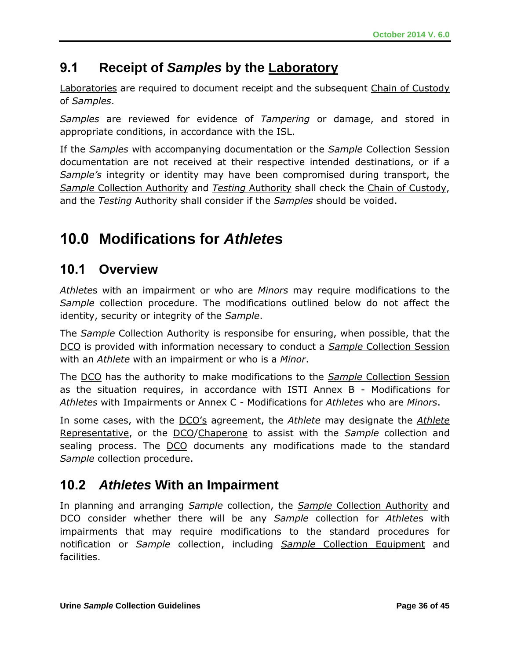# **9.1 Receipt of** *Samples* **by the Laboratory**

Laboratories are required to document receipt and the subsequent Chain of Custody of *Samples*.

*Samples* are reviewed for evidence of *Tampering* or damage, and stored in appropriate conditions, in accordance with the ISL.

If the *Samples* with accompanying documentation or the *Sample* Collection Session documentation are not received at their respective intended destinations, or if a *Sample's* integrity or identity may have been compromised during transport, the *Sample* Collection Authority and *Testing* Authority shall check the Chain of Custody, and the *Testing* Authority shall consider if the *Samples* should be voided.

# **10.0 Modifications for** *Athlete***s**

### **10.1 Overview**

*Athlete*s with an impairment or who are *Minors* may require modifications to the *Sample* collection procedure. The modifications outlined below do not affect the identity, security or integrity of the *Sample*.

The *Sample* Collection Authority is responsibe for ensuring, when possible, that the DCO is provided with information necessary to conduct a *Sample* Collection Session with an *Athlete* with an impairment or who is a *Minor*.

The DCO has the authority to make modifications to the *Sample* Collection Session as the situation requires, in accordance with ISTI Annex B - Modifications for *Athletes* with Impairments or Annex C - Modifications for *Athletes* who are *Minors*.

In some cases, with the DCO's agreement, the *Athlete* may designate the *Athlete* Representative, or the DCO/Chaperone to assist with the *Sample* collection and sealing process. The DCO documents any modifications made to the standard *Sample* collection procedure.

# **10.2** *Athletes* **With an Impairment**

In planning and arranging *Sample* collection, the *Sample* Collection Authority and DCO consider whether there will be any *Sample* collection for *Athlete*s with impairments that may require modifications to the standard procedures for notification or *Sample* collection, including *Sample* Collection Equipment and facilities.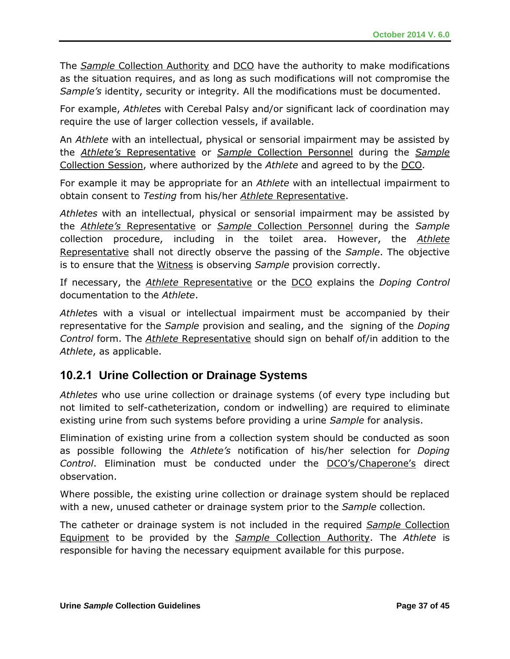The *Sample* Collection Authority and DCO have the authority to make modifications as the situation requires, and as long as such modifications will not compromise the *Sample's* identity, security or integrity*.* All the modifications must be documented.

For example, *Athlete*s with Cerebal Palsy and/or significant lack of coordination may require the use of larger collection vessels, if available.

An *Athlete* with an intellectual, physical or sensorial impairment may be assisted by the *Athlete's* Representative or *Sample* Collection Personnel during the *Sample* Collection Session, where authorized by the *Athlete* and agreed to by the DCO.

For example it may be appropriate for an *Athlete* with an intellectual impairment to obtain consent to *Testing* from his/her *Athlete* Representative.

*Athletes* with an intellectual, physical or sensorial impairment may be assisted by the *Athlete's* Representative or *Sample* Collection Personnel during the *Sample* collection procedure, including in the toilet area. However, the *Athlete* Representative shall not directly observe the passing of the *Sample*. The objective is to ensure that the Witness is observing *Sample* provision correctly.

If necessary, the *Athlete* Representative or the DCO explains the *Doping Control* documentation to the *Athlete*.

*Athlete*s with a visual or intellectual impairment must be accompanied by their representative for the *Sample* provision and sealing, and the signing of the *Doping Control* form. The *Athlete* Representative should sign on behalf of/in addition to the *Athlete*, as applicable.

### **10.2.1 Urine Collection or Drainage Systems**

*Athletes* who use urine collection or drainage systems (of every type including but not limited to self-catheterization, condom or indwelling) are required to eliminate existing urine from such systems before providing a urine *Sample* for analysis.

Elimination of existing urine from a collection system should be conducted as soon as possible following the *Athlete's* notification of his/her selection for *Doping Control*. Elimination must be conducted under the DCO's/Chaperone's direct observation.

Where possible, the existing urine collection or drainage system should be replaced with a new, unused catheter or drainage system prior to the *Sample* collection*.*

The catheter or drainage system is not included in the required *Sample* Collection Equipment to be provided by the *Sample* Collection Authority. The *Athlete* is responsible for having the necessary equipment available for this purpose.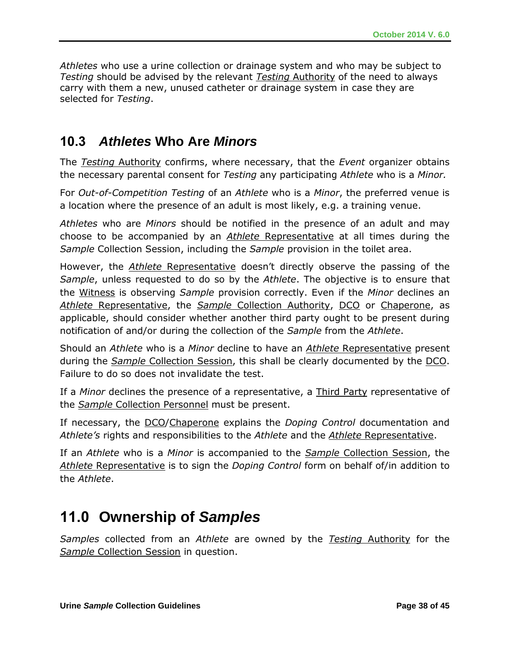*Athletes* who use a urine collection or drainage system and who may be subject to *Testing* should be advised by the relevant *Testing* Authority of the need to always carry with them a new, unused catheter or drainage system in case they are selected for *Testing*.

# **10.3** *Athletes* **Who Are** *Minors*

The *Testing* Authority confirms, where necessary, that the *Event* organizer obtains the necessary parental consent for *Testing* any participating *Athlete* who is a *Minor.*

For *Out-of-Competition Testing* of an *Athlete* who is a *Minor*, the preferred venue is a location where the presence of an adult is most likely, e.g. a training venue.

*Athletes* who are *Minors* should be notified in the presence of an adult and may choose to be accompanied by an *Athlete* Representative at all times during the *Sample* Collection Session, including the *Sample* provision in the toilet area.

However, the *Athlete* Representative doesn't directly observe the passing of the *Sample*, unless requested to do so by the *Athlete*. The objective is to ensure that the Witness is observing *Sample* provision correctly. Even if the *Minor* declines an *Athlete* Representative, the *Sample* Collection Authority, DCO or Chaperone, as applicable, should consider whether another third party ought to be present during notification of and/or during the collection of the *Sample* from the *Athlete*.

Should an *Athlete* who is a *Minor* decline to have an *Athlete* Representative present during the *Sample* Collection Session, this shall be clearly documented by the DCO. Failure to do so does not invalidate the test.

If a *Minor* declines the presence of a representative, a Third Party representative of the *Sample* Collection Personnel must be present.

If necessary, the DCO/Chaperone explains the *Doping Control* documentation and *Athlete's* rights and responsibilities to the *Athlete* and the *Athlete* Representative.

If an *Athlete* who is a *Minor* is accompanied to the *Sample* Collection Session, the *Athlete* Representative is to sign the *Doping Control* form on behalf of/in addition to the *Athlete*.

# **11.0 Ownership of** *Samples*

*Samples* collected from an *Athlete* are owned by the *Testing* Authority for the *Sample* Collection Session in question.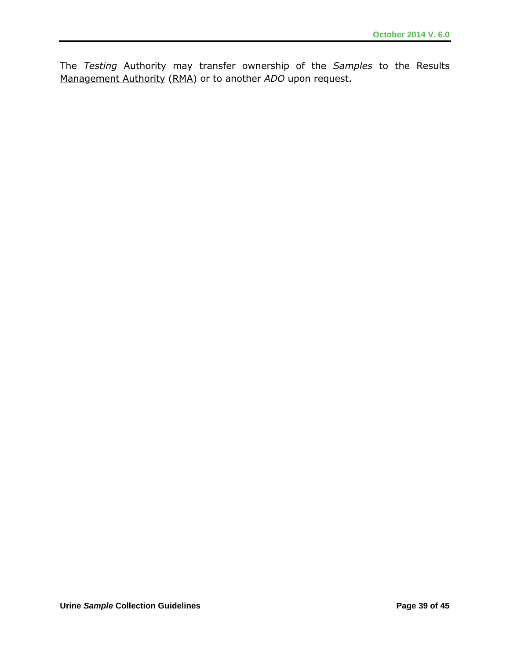The *Testing* Authority may transfer ownership of the *Samples* to the Results Management Authority (RMA) or to another *ADO* upon request.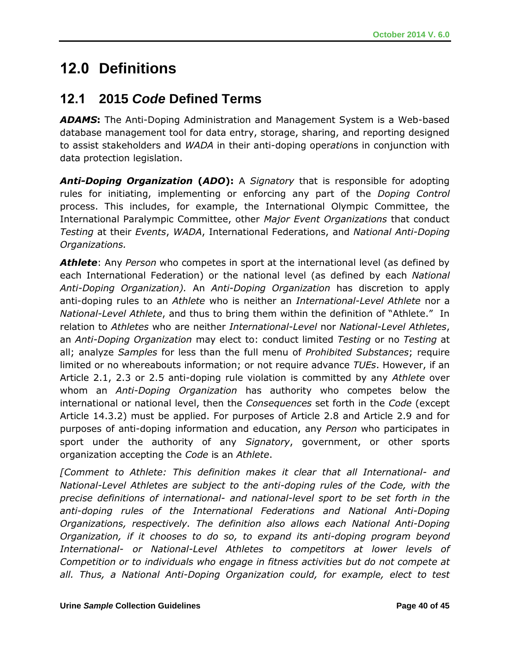# **12.0 Definitions**

# **12.1 2015** *Code* **Defined Terms**

*ADAMS***:** The Anti-Doping Administration and Management System is a Web-based database management tool for data entry, storage, sharing, and reporting designed to assist stakeholders and *WADA* in their anti-doping oper*atio*ns in conjunction with data protection legislation.

*Anti-Doping Organization* **(***ADO***):** A *Signatory* that is responsible for adopting rules for initiating, implementing or enforcing any part of the *Doping Control* process. This includes, for example, the International Olympic Committee, the International Paralympic Committee, other *Major Event Organizations* that conduct *Testing* at their *Events*, *WADA*, International Federations, and *National Anti-Doping Organizations.*

*Athlete*: Any *Person* who competes in sport at the international level (as defined by each International Federation) or the national level (as defined by each *National Anti-Doping Organization).* An *Anti-Doping Organization* has discretion to apply anti-doping rules to an *Athlete* who is neither an *International-Level Athlete* nor a *National-Level Athlete*, and thus to bring them within the definition of "Athlete." In relation to *Athletes* who are neither *International-Level* nor *National-Level Athletes*, an *Anti-Doping Organization* may elect to: conduct limited *Testing* or no *Testing* at all; analyze *Samples* for less than the full menu of *Prohibited Substances*; require limited or no whereabouts information; or not require advance *TUEs*. However, if an Article 2.1, 2.3 or 2.5 anti-doping rule violation is committed by any *Athlete* over whom an *Anti-Doping Organization* has authority who competes below the international or national level, then the *Consequences* set forth in the *Code* (except Article 14.3.2) must be applied. For purposes of Article 2.8 and Article 2.9 and for purposes of anti-doping information and education, any *Person* who participates in sport under the authority of any *Signatory*, government, or other sports organization accepting the *Code* is an *Athlete*.

*[Comment to Athlete: This definition makes it clear that all International- and National-Level Athletes are subject to the anti-doping rules of the Code, with the precise definitions of international- and national-level sport to be set forth in the anti-doping rules of the International Federations and National Anti-Doping Organizations, respectively. The definition also allows each National Anti-Doping Organization, if it chooses to do so, to expand its anti-doping program beyond International- or National-Level Athletes to competitors at lower levels of Competition or to individuals who engage in fitness activities but do not compete at*  all. Thus, a National Anti-Doping Organization could, for example, elect to test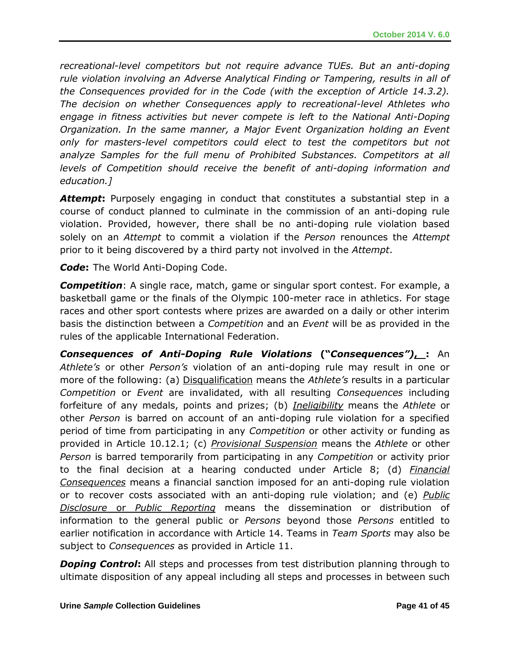*recreational-level competitors but not require advance TUEs. But an anti-doping rule violation involving an Adverse Analytical Finding or Tampering, results in all of the Consequences provided for in the Code (with the exception of Article 14.3.2). The decision on whether Consequences apply to recreational-level Athletes who engage in fitness activities but never compete is left to the National Anti-Doping Organization. In the same manner, a Major Event Organization holding an Event only for masters-level competitors could elect to test the competitors but not analyze Samples for the full menu of Prohibited Substances. Competitors at all levels of Competition should receive the benefit of anti-doping information and education.]*

*Attempt***:** Purposely engaging in conduct that constitutes a substantial step in a course of conduct planned to culminate in the commission of an anti-doping rule violation. Provided, however, there shall be no anti-doping rule violation based solely on an *Attempt* to commit a violation if the *Person* renounces the *Attempt* prior to it being discovered by a third party not involved in the *Attempt*.

*Code***:** The World Anti-Doping Code.

*Competition*: A single race, match, game or singular sport contest. For example, a basketball game or the finals of the Olympic 100-meter race in athletics. For stage races and other sport contests where prizes are awarded on a daily or other interim basis the distinction between a *Competition* and an *Event* will be as provided in the rules of the applicable International Federation.

*Consequences of Anti-Doping Rule Violations* **("***Consequences")***, :** An *Athlete's* or other *Person's* violation of an anti-doping rule may result in one or more of the following: (a) Disqualification means the *Athlete's* results in a particular *Competition* or *Event* are invalidated, with all resulting *Consequences* including forfeiture of any medals, points and prizes; (b) *Ineligibility* means the *Athlete* or other *Person* is barred on account of an anti-doping rule violation for a specified period of time from participating in any *Competition* or other activity or funding as provided in Article 10.12.1; (c) *Provisional Suspension* means the *Athlete* or other *Person* is barred temporarily from participating in any *Competition* or activity prior to the final decision at a hearing conducted under Article 8; (d) *Financial Consequences* means a financial sanction imposed for an anti-doping rule violation or to recover costs associated with an anti-doping rule violation; and (e) *Public Disclosure* or *Public Reporting* means the dissemination or distribution of information to the general public or *Persons* beyond those *Persons* entitled to earlier notification in accordance with Article 14. Teams in *Team Sports* may also be subject to *Consequences* as provided in Article 11.

**Doping Control**: All steps and processes from test distribution planning through to ultimate disposition of any appeal including all steps and processes in between such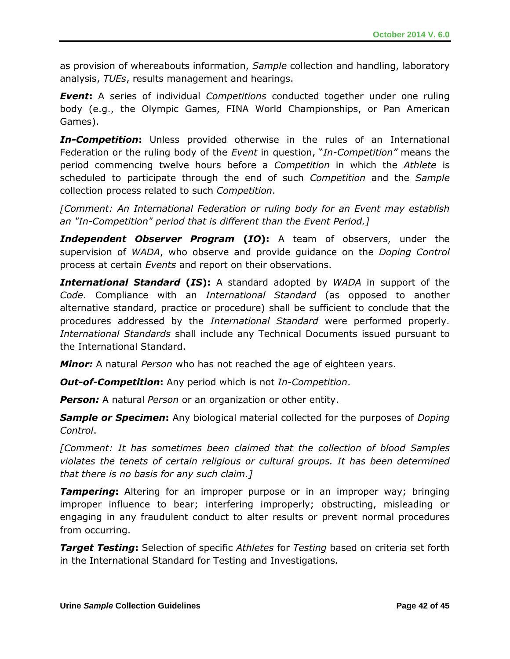as provision of whereabouts information, *Sample* collection and handling, laboratory analysis, *TUEs*, results management and hearings.

*Event***:** A series of individual *Competitions* conducted together under one ruling body (e.g., the Olympic Games, FINA World Championships, or Pan American Games).

*In-Competition***:** Unless provided otherwise in the rules of an International Federation or the ruling body of the *Event* in question, "*In-Competition"* means the period commencing twelve hours before a *Competition* in which the *Athlete* is scheduled to participate through the end of such *Competition* and the *Sample* collection process related to such *Competition*.

*[Comment: An International Federation or ruling body for an Event may establish an "In-Competition" period that is different than the Event Period.]*

*Independent Observer Program* **(***IO***):** A team of observers, under the supervision of *WADA*, who observe and provide guidance on the *Doping Control* process at certain *Events* and report on their observations.

*International Standard* **(***IS***):** A standard adopted by *WADA* in support of the *Code*. Compliance with an *International Standard* (as opposed to another alternative standard, practice or procedure) shall be sufficient to conclude that the procedures addressed by the *International Standard* were performed properly. *International Standards* shall include any Technical Documents issued pursuant to the International Standard.

*Minor:* A natural *Person* who has not reached the age of eighteen years.

*Out-of-Competition***:** Any period which is not *In-Competition*.

*Person:* A natural *Person* or an organization or other entity.

*Sample or Specimen***:** Any biological material collected for the purposes of *Doping Control*.

*[Comment: It has sometimes been claimed that the collection of blood Samples violates the tenets of certain religious or cultural groups. It has been determined that there is no basis for any such claim.]*

*Tampering***:** Altering for an improper purpose or in an improper way; bringing improper influence to bear; interfering improperly; obstructing, misleading or engaging in any fraudulent conduct to alter results or prevent normal procedures from occurring.

*Target Testing***:** Selection of specific *Athletes* for *Testing* based on criteria set forth in the International Standard for Testing and Investigations*.*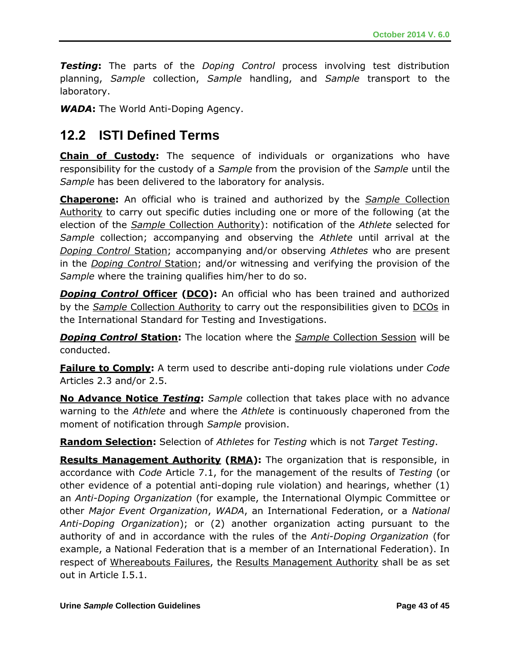*Testing***:** The parts of the *Doping Control* process involving test distribution planning, *Sample* collection, *Sample* handling, and *Sample* transport to the laboratory.

*WADA***:** The World Anti-Doping Agency.

### **12.2 ISTI Defined Terms**

**Chain of Custody:** The sequence of individuals or organizations who have responsibility for the custody of a *Sample* from the provision of the *Sample* until the *Sample* has been delivered to the laboratory for analysis.

**Chaperone:** An official who is trained and authorized by the *Sample* Collection Authority to carry out specific duties including one or more of the following (at the election of the *Sample* Collection Authority): notification of the *Athlete* selected for *Sample* collection; accompanying and observing the *Athlete* until arrival at the *Doping Control* Station; accompanying and/or observing *Athletes* who are present in the *Doping Control* Station; and/or witnessing and verifying the provision of the *Sample* where the training qualifies him/her to do so.

**Doping Control Officer (DCO):** An official who has been trained and authorized by the *Sample* Collection Authority to carry out the responsibilities given to DCOs in the International Standard for Testing and Investigations.

*Doping Control* **Station:** The location where the *Sample* Collection Session will be conducted.

**Failure to Comply:** A term used to describe anti-doping rule violations under *Code*  Articles 2.3 and/or 2.5.

**No Advance Notice** *Testing***:** *Sample* collection that takes place with no advance warning to the *Athlete* and where the *Athlete* is continuously chaperoned from the moment of notification through *Sample* provision.

**Random Selection:** Selection of *Athletes* for *Testing* which is not *Target Testing*.

**Results Management Authority (RMA):** The organization that is responsible, in accordance with *Code* Article 7.1, for the management of the results of *Testing* (or other evidence of a potential anti-doping rule violation) and hearings, whether (1) an *Anti-Doping Organization* (for example, the International Olympic Committee or other *Major Event Organization*, *WADA*, an International Federation, or a *National Anti-Doping Organization*); or (2) another organization acting pursuant to the authority of and in accordance with the rules of the *Anti-Doping Organization* (for example, a National Federation that is a member of an International Federation). In respect of Whereabouts Failures, the Results Management Authority shall be as set out in Article I.5.1.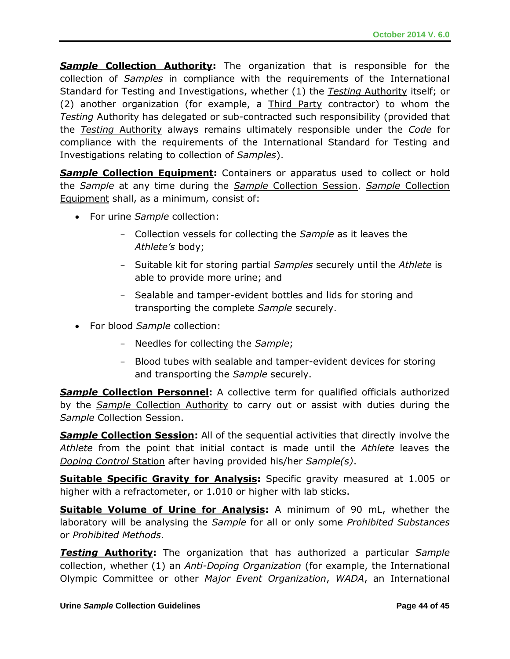**Sample Collection Authority:** The organization that is responsible for the collection of *Samples* in compliance with the requirements of the International Standard for Testing and Investigations, whether (1) the *Testing* Authority itself; or (2) another organization (for example, a Third Party contractor) to whom the *Testing* Authority has delegated or sub-contracted such responsibility (provided that the *Testing* Authority always remains ultimately responsible under the *Code* for compliance with the requirements of the International Standard for Testing and Investigations relating to collection of *Samples*).

**Sample Collection Equipment:** Containers or apparatus used to collect or hold the *Sample* at any time during the *Sample* Collection Session. *Sample* Collection Equipment shall, as a minimum, consist of:

- For urine *Sample* collection:
	- Collection vessels for collecting the *Sample* as it leaves the *Athlete's* body;
	- Suitable kit for storing partial *Samples* securely until the *Athlete* is able to provide more urine; and
	- Sealable and tamper-evident bottles and lids for storing and transporting the complete *Sample* securely.
- For blood *Sample* collection:
	- Needles for collecting the *Sample*;
	- Blood tubes with sealable and tamper-evident devices for storing and transporting the *Sample* securely.

**Sample Collection Personnel:** A collective term for qualified officials authorized by the *Sample* Collection Authority to carry out or assist with duties during the *Sample* Collection Session.

**Sample Collection Session:** All of the sequential activities that directly involve the *Athlete* from the point that initial contact is made until the *Athlete* leaves the *Doping Control* Station after having provided his/her *Sample(s)*.

**Suitable Specific Gravity for Analysis:** Specific gravity measured at 1.005 or higher with a refractometer, or 1.010 or higher with lab sticks.

**Suitable Volume of Urine for Analysis:** A minimum of 90 mL, whether the laboratory will be analysing the *Sample* for all or only some *Prohibited Substances* or *Prohibited Methods*.

*Testing* **Authority:** The organization that has authorized a particular *Sample*  collection, whether (1) an *Anti-Doping Organization* (for example, the International Olympic Committee or other *Major Event Organization*, *WADA*, an International